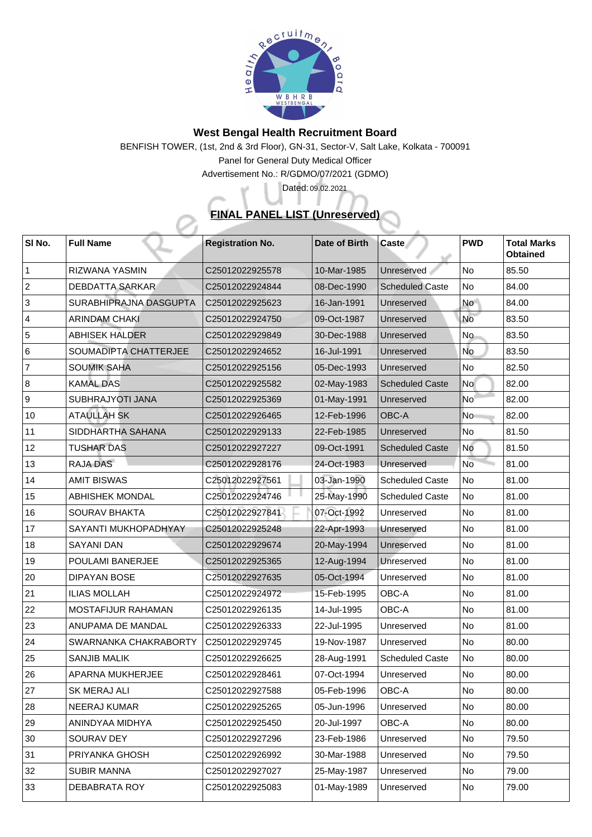

## **West Bengal Health Recruitment Board**

BENFISH TOWER, (1st, 2nd & 3rd Floor), GN-31, Sector-V, Salt Lake, Kolkata - 700091

Panel for General Duty Medical Officer

Advertisement No.: R/GDMO/07/2021 (GDMO)

## **FINAL PANEL LIST (Unreserved)**

Dated: 09.02.2021

| SI No.         | <b>Full Name</b>            | <b>Registration No.</b> | Date of Birth | <b>Caste</b>           | <b>PWD</b>               | <b>Total Marks</b><br><b>Obtained</b> |
|----------------|-----------------------------|-------------------------|---------------|------------------------|--------------------------|---------------------------------------|
|                | <b>RIZWANA YASMIN</b>       | C25012022925578         | 10-Mar-1985   | Unreserved             | No                       | 85.50                                 |
| $\overline{2}$ | <b>DEBDATTA SARKAR</b>      | C25012022924844         | 08-Dec-1990   | <b>Scheduled Caste</b> | No                       | 84.00                                 |
| 3              | SURABHIPRAJNA DASGUPTA      | C25012022925623         | 16-Jan-1991   | Unreserved             | <b>No</b>                | 84.00                                 |
| $\overline{4}$ | <b>ARINDAM CHAKI</b>        | C25012022924750         | 09-Oct-1987   | Unreserved             | <b>No</b>                | 83.50                                 |
| 5              | <b>ABHISEK HALDER</b>       | C25012022929849         | 30-Dec-1988   | Unreserved             | <b>No</b>                | 83.50                                 |
| 6              | SOUMADIPTA CHATTERJEE       | C25012022924652         | 16-Jul-1991   | Unreserved             | <b>No</b>                | 83.50                                 |
| $\overline{7}$ | <b>SOUMIK SAHA</b>          | C25012022925156         | 05-Dec-1993   | Unreserved             | <b>No</b>                | 82.50                                 |
| 8              | <b>KAMAL DAS</b>            | C25012022925582         | 02-May-1983   | <b>Scheduled Caste</b> | <b>No</b>                | 82.00                                 |
| 9              | <b>SUBHRAJYOTI JANA</b>     | C25012022925369         | 01-May-1991   | Unreserved             | <b>No</b>                | 82.00                                 |
| 10             | <b>ATAULLAH SK</b>          | C25012022926465         | 12-Feb-1996   | <b>OBC-A</b>           | <b>No</b>                | 82.00                                 |
| 11             | SIDDHARTHA SAHANA           | C25012022929133         | 22-Feb-1985   | Unreserved             | No                       | 81.50                                 |
| 12             | <b>TUSHAR DAS</b>           | C25012022927227         | 09-Oct-1991   | <b>Scheduled Caste</b> | No                       | 81.50                                 |
| 13             | <b>RAJA DAS</b>             | C25012022928176         | 24-Oct-1983   | Unreserved             | <b>No</b>                | 81.00                                 |
| 14             | <b>AMIT BISWAS</b>          | C25012022927561         | 03-Jan-1990   | <b>Scheduled Caste</b> | No                       | 81.00                                 |
| 15             | <b>ABHISHEK MONDAL</b>      | C25012022924746         | 25-May-1990   | <b>Scheduled Caste</b> | No                       | 81.00                                 |
| 16             | <b>SOURAV BHAKTA</b>        | C25012022927841         | 07-Oct-1992   | Unreserved             | No                       | 81.00                                 |
| 17             | <b>SAYANTI MUKHOPADHYAY</b> | C25012022925248         | 22-Apr-1993   | Unreserved             | No                       | 81.00                                 |
| 18             | <b>SAYANI DAN</b>           | C25012022929674         | 20-May-1994   | Unreserved             | No                       | 81.00                                 |
| 19             | <b>POULAMI BANERJEE</b>     | C25012022925365         | 12-Aug-1994   | Unreserved             | No                       | 81.00                                 |
| 20             | <b>DIPAYAN BOSE</b>         | C25012022927635         | 05-Oct-1994   | Unreserved             | No                       | 81.00                                 |
| 21             | <b>ILIAS MOLLAH</b>         | C25012022924972         | 15-Feb-1995   | <b>OBC-A</b>           | No                       | 81.00                                 |
| 22             | <b>MOSTAFIJUR RAHAMAN</b>   | C25012022926135         | 14-Jul-1995   | <b>OBC-A</b>           | <b>No</b>                | 81.00                                 |
| 23             | <b>ANUPAMA DE MANDAL</b>    | C25012022926333         | 22-Jul-1995   | Unreserved             | No                       | 81.00                                 |
| 24             | SWARNANKA CHAKRABORTY       | C25012022929745         | 19-Nov-1987   | Unreserved             | N <sub>o</sub>           | 80.00                                 |
| 25             | <b>SANJIB MALIK</b>         | C25012022926625         | 28-Aug-1991   | <b>Scheduled Caste</b> | No                       | 80.00                                 |
| 26             | <b>APARNA MUKHERJEE</b>     | C25012022928461         | 07-Oct-1994   | Unreserved             | $\overline{\mathsf{No}}$ | 80.00                                 |
| 27             | <b>SK MERAJ ALI</b>         | C25012022927588         | 05-Feb-1996   | <b>OBC-A</b>           | No                       | 80.00                                 |
| 28             | <b>NEERAJ KUMAR</b>         | C25012022925265         | 05-Jun-1996   | Unreserved             | No                       | 80.00                                 |
| 29             | ANINDYAA MIDHYA             | C25012022925450         | 20-Jul-1997   | <b>OBC-A</b>           | No                       | 80.00                                 |
| 30             | <b>SOURAV DEY</b>           | C25012022927296         | 23-Feb-1986   | Unreserved             | No                       | 79.50                                 |
| 31             | <b>PRIYANKA GHOSH</b>       | C25012022926992         | 30-Mar-1988   | Unreserved             | No                       | 79.50                                 |
| 32             | <b>SUBIR MANNA</b>          | C25012022927027         | 25-May-1987   | Unreserved             | No                       | 79.00                                 |
| 33             | <b>DEBABRATA ROY</b>        | C25012022925083         | 01-May-1989   | Unreserved             | N <sub>o</sub>           | 79.00                                 |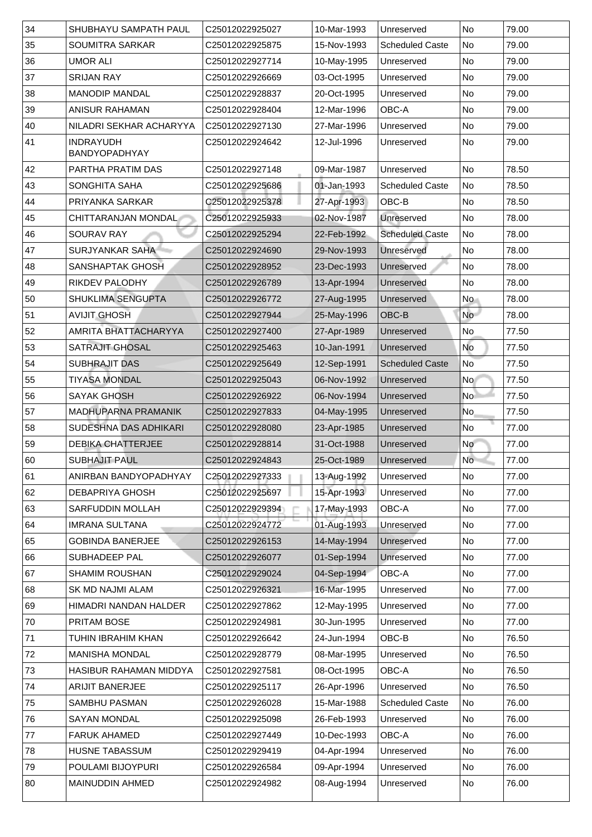| 34 | <b>SHUBHAYU SAMPATH PAUL</b>             | C25012022925027             | 10-Mar-1993 | Unreserved                        | <b>No</b>       | 79.00 |
|----|------------------------------------------|-----------------------------|-------------|-----------------------------------|-----------------|-------|
| 35 | <b>SOUMITRA SARKAR</b>                   | C25012022925875             | 15-Nov-1993 | <b>Scheduled Caste</b>            | <b>No</b>       | 79.00 |
| 36 | <b>UMOR ALI</b>                          | C25012022927714             | 10-May-1995 | Unreserved                        | <b>No</b>       | 79.00 |
| 37 | <b>SRIJAN RAY</b>                        | C25012022926669             | 03-Oct-1995 | Unreserved                        | <b>No</b>       | 79.00 |
| 38 | <b>MANODIP MANDAL</b>                    | C25012022928837             | 20-Oct-1995 | Unreserved                        | N <sub>o</sub>  | 79.00 |
| 39 | <b>ANISUR RAHAMAN</b>                    | C25012022928404             | 12-Mar-1996 | <b>OBC-A</b>                      | <b>No</b>       | 79.00 |
| 40 | NILADRI SEKHAR ACHARYYA                  | C25012022927130             | 27-Mar-1996 | Unreserved                        | <b>No</b>       | 79.00 |
| 41 | <b>INDRAYUDH</b><br><b>BANDYOPADHYAY</b> | C25012022924642             | 12-Jul-1996 | Unreserved                        | <b>No</b>       | 79.00 |
| 42 | <b>PARTHA PRATIM DAS</b>                 | C25012022927148             | 09-Mar-1987 | Unreserved                        | N <sub>o</sub>  | 78.50 |
| 43 | <b>SONGHITA SAHA</b>                     | C25012022925686             | 01-Jan-1993 | <b>Scheduled Caste</b>            | No              | 78.50 |
| 44 | PRIYANKA SARKAR                          | C25012022925378             | 27-Apr-1993 | $\mathsf{IOBC}\text{-}\mathsf{B}$ | <b>No</b>       | 78.50 |
| 45 | <b>CHITTARANJAN MONDAL</b>               | C25012022925933             | 02-Nov-1987 | Unreserved                        | N <sub>o</sub>  | 78.00 |
| 46 | <b>SOURAV RAY</b>                        | C25012022925294             | 22-Feb-1992 | <b>Scheduled Caste</b>            | No              | 78.00 |
| 47 | <b>SURJYANKAR SAHA</b>                   | C25012022924690             | 29-Nov-1993 | Unreserved                        | N <sub>o</sub>  | 78.00 |
| 48 | <b>SANSHAPTAK GHOSH</b>                  | C25012022928952             | 23-Dec-1993 | Unreserved                        | N <sub>o</sub>  | 78.00 |
| 49 | <b>RIKDEV PALODHY</b>                    | C25012022926789             | 13-Apr-1994 | Unreserved                        | N <sub>o</sub>  | 78.00 |
| 50 | <b>SHUKLIMA SENGUPTA</b>                 | C25012022926772             | 27-Aug-1995 | Unreserved                        | <b>No</b>       | 78.00 |
| 51 | <b>AVIJIT GHOSH</b>                      | C25012022927944             | 25-May-1996 | OBC-B                             | No              | 78.00 |
| 52 | <b>AMRITA BHATTACHARYYA</b>              | C25012022927400             | 27-Apr-1989 | Unreserved                        | N <sub>o</sub>  | 77.50 |
| 53 | <b>SATRAJIT GHOSAL</b>                   | C25012022925463             | 10-Jan-1991 | Unreserved                        | <b>No</b>       | 77.50 |
| 54 | <b>SUBHRAJIT DAS</b>                     | C25012022925649             | 12-Sep-1991 | <b>Scheduled Caste</b>            | N <sub>o</sub>  | 77.50 |
| 55 | <b>TIYASA MONDAL</b>                     | C25012022925043             | 06-Nov-1992 | Unreserved                        | No l            | 77.50 |
| 56 | <b>SAYAK GHOSH</b>                       | C25012022926922             | 06-Nov-1994 | Unreserved                        | No <sup>1</sup> | 77.50 |
| 57 | <b>MADHUPARNA PRAMANIK</b>               | C25012022927833             | 04-May-1995 | Unreserved                        | No              | 77.50 |
| 58 | <b>SUDESHNA DAS ADHIKARI</b>             | C25012022928080             | 23-Apr-1985 | Unreserved                        | No              | 77.00 |
| 59 | <b>DEBIKA CHATTERJEE</b>                 | C25012022928814             | 31-Oct-1988 | Unreserved                        | N <sub>o</sub>  | 77.00 |
| 60 | <b>SUBHAJIT PAUL</b>                     | C25012022924843             | 25-Oct-1989 | Unreserved                        | No              | 77.00 |
| 61 | ANIRBAN BANDYOPADHYAY                    | C <sub>25012022927333</sub> | 13-Aug-1992 | Unreserved                        | No              | 77.00 |
| 62 | <b>DEBAPRIYA GHOSH</b>                   | C25012022925697             | 15-Apr-1993 | Unreserved                        | N <sub>o</sub>  | 77.00 |
| 63 | <b>SARFUDDIN MOLLAH</b>                  | C25012022929394             | 17-May-1993 | <b>OBC-A</b>                      | N <sub>o</sub>  | 77.00 |
| 64 | <b>IMRANA SULTANA</b>                    | C25012022924772             | 01-Aug-1993 | Unreserved                        | N <sub>o</sub>  | 77.00 |
| 65 | <b>GOBINDA BANERJEE</b>                  | C25012022926153             | 14-May-1994 | Unreserved                        | No              | 77.00 |
| 66 | <b>SUBHADEEP PAL</b>                     | C25012022926077             | 01-Sep-1994 | Unreserved                        | N <sub>o</sub>  | 77.00 |
| 67 | <b>SHAMIM ROUSHAN</b>                    | C25012022929024             | 04-Sep-1994 | <b>OBC-A</b>                      | N <sub>o</sub>  | 77.00 |
| 68 | <b>SK MD NAJMI ALAM</b>                  | C25012022926321             | 16-Mar-1995 | Unreserved                        | N <sub>o</sub>  | 77.00 |
| 69 | HIMADRI NANDAN HALDER                    | C25012022927862             | 12-May-1995 | Unreserved                        | N <sub>o</sub>  | 77.00 |
| 70 | <b>PRITAM BOSE</b>                       | C25012022924981             | 30-Jun-1995 | Unreserved                        | N <sub>o</sub>  | 77.00 |
| 71 | <b>TUHIN IBRAHIM KHAN</b>                | C25012022926642             | 24-Jun-1994 | <b>OBC-B</b>                      | N <sub>o</sub>  | 76.50 |
| 72 | <b>MANISHA MONDAL</b>                    | C25012022928779             | 08-Mar-1995 | Unreserved                        | N <sub>o</sub>  | 76.50 |
| 73 | <b>HASIBUR RAHAMAN MIDDYA</b>            | C25012022927581             | 08-Oct-1995 | <b>OBC-A</b>                      | N <sub>o</sub>  | 76.50 |
| 74 | <b>ARIJIT BANERJEE</b>                   | C25012022925117             | 26-Apr-1996 | Unreserved                        | No              | 76.50 |
| 75 | <b>SAMBHU PASMAN</b>                     | C25012022926028             | 15-Mar-1988 | <b>Scheduled Caste</b>            | No              | 76.00 |
| 76 | <b>SAYAN MONDAL</b>                      | C25012022925098             | 26-Feb-1993 | Unreserved                        | No              | 76.00 |
| 77 | <b>FARUK AHAMED</b>                      | C25012022927449             | 10-Dec-1993 | <b>OBC-A</b>                      | No              | 76.00 |
| 78 | <b>HUSNE TABASSUM</b>                    | C25012022929419             | 04-Apr-1994 | Unreserved                        | N <sub>o</sub>  | 76.00 |
| 79 | <b>POULAMI BIJOYPURI</b>                 | C25012022926584             | 09-Apr-1994 | Unreserved                        | No              | 76.00 |
| 80 | <b>MAINUDDIN AHMED</b>                   | C25012022924982             | 08-Aug-1994 | Unreserved                        | No              | 76.00 |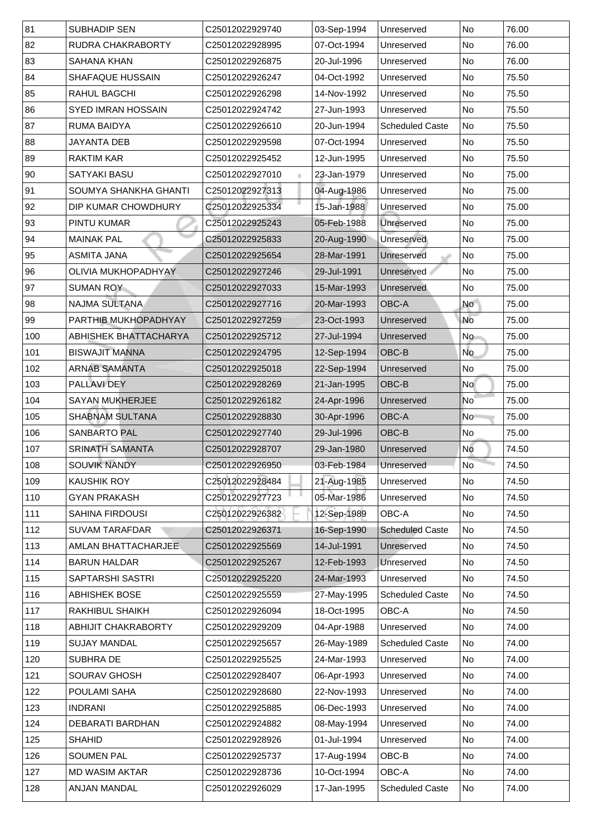| 82<br><b>RUDRA CHAKRABORTY</b><br>07-Oct-1994<br>76.00<br>C25012022928995<br>No<br>Unreserved<br>83<br>No<br><b>SAHANA KHAN</b><br>C25012022926875<br>20-Jul-1996<br>76.00<br>Unreserved<br>84<br><b>SHAFAQUE HUSSAIN</b><br>04-Oct-1992<br><b>No</b><br>75.50<br>C25012022926247<br>Unreserved<br>85<br><b>RAHUL BAGCHI</b><br>C25012022926298<br>14-Nov-1992<br>No<br>75.50<br>Unreserved<br>86<br><b>SYED IMRAN HOSSAIN</b><br>No<br>75.50<br>C25012022924742<br>27-Jun-1993<br>Unreserved<br>87<br><b>RUMA BAIDYA</b><br><b>Scheduled Caste</b><br>No<br>C25012022926610<br>20-Jun-1994<br>75.50<br>88<br><b>JAYANTA DEB</b><br>C25012022929598<br>07-Oct-1994<br>No<br>Unreserved<br>75.50<br>89<br><b>No</b><br><b>RAKTIM KAR</b><br>C25012022925452<br>12-Jun-1995<br>75.50<br>Unreserved<br>90<br><b>SATYAKI BASU</b><br>C25012022927010<br>No<br>23-Jan-1979<br>75.00<br>Unreserved<br>91<br>04-Aug-1986<br>SOUMYA SHANKHA GHANTI<br>C25012022927313<br><b>No</b><br>75.00<br>Unreserved<br>92<br>C25012022925334<br>15-Jan-1988<br>DIP KUMAR CHOWDHURY<br>75.00<br>No<br>Unreserved<br>93<br>05-Feb-1988<br><b>PINTU KUMAR</b><br>C25012022925243<br><b>Unreserved</b><br>No<br>75.00<br>94<br><b>MAINAK PAL</b><br>No<br>75.00<br>20-Aug-1990<br>C25012022925833<br>Unreserved<br>95<br>No<br><b>ASMITA JANA</b><br>C25012022925654<br>28-Mar-1991<br>75.00<br>Unreserved<br>96<br><b>OLIVIA MUKHOPADHYAY</b><br>29-Jul-1991<br>Unreserved<br>75.00<br>C25012022927246<br><b>No</b><br>97<br><b>SUMAN ROY</b><br>15-Mar-1993<br>75.00<br>C25012022927033<br>Unreserved<br>No<br>98<br><b>OBC-A</b><br><b>No</b><br><b>NAJMA SULTANA</b><br>C25012022927716<br>20-Mar-1993<br>75.00<br>99<br><b>No</b><br>PARTHIB MUKHOPADHYAY<br>23-Oct-1993<br>C25012022927259<br>Unreserved<br>75.00<br>100<br>Unreserved<br>ABHISHEK BHATTACHARYA<br>27-Jul-1994<br>No<br>75.00<br>C25012022925712<br>No<br>OBC-B<br>101<br><b>BISWAJIT MANNA</b><br>12-Sep-1994<br>C25012022924795<br>75.00<br><b>ARNAB SAMANTA</b><br>102<br>C25012022925018<br>22-Sep-1994<br>No<br>75.00<br>Unreserved<br>OBC-B<br>103<br><b>PALLAVI DEY</b><br>21-Jan-1995 <br>C25012022928269<br><b>No</b><br>75.00<br>104<br><b>SAYAN MUKHERJEE</b><br>24-Apr-1996<br>75.00<br>C25012022926182<br>Unreserved<br>No<br>105<br><b>SHABNAM SULTANA</b><br><b>OBC-A</b><br>C25012022928830<br>30-Apr-1996<br>75.00<br>N <sub>o</sub><br><b>SANBARTO PAL</b><br>OBC-B<br>No<br>106<br>29-Jul-1996<br>75.00<br>C25012022927740<br>107<br><b>SRINATH SAMANTA</b><br>Unreserved<br>No<br>74.50<br>C25012022928707<br>29-Jan-1980 <br><b>No</b><br>108<br><b>SOUVIK NANDY</b><br>C25012022926950<br>Unreserved<br>74.50<br>03-Feb-1984<br>109<br>21-Aug-1985<br><b>KAUSHIK ROY</b><br>No<br>74.50<br>C25012022928484<br>Unreserved<br>05-Mar-1986<br>110<br><b>GYAN PRAKASH</b><br>C25012022927723<br><b>No</b><br>74.50<br>Unreserved<br>12-Sep-1989<br>111<br><b>SAHINA FIRDOUSI</b><br>C25012022926382<br><b>OBC-A</b><br>No<br>74.50<br>112<br><b>SUVAM TARAFDAR</b><br>16-Sep-1990<br><b>Scheduled Caste</b><br>No<br>C25012022926371<br>74.50<br>113<br><b>AMLAN BHATTACHARJEE</b><br>14-Jul-1991<br><b>No</b><br>74.50<br>C25012022925569<br>Unreserved<br>114<br><b>No</b><br><b>BARUN HALDAR</b><br>C25012022925267<br>12-Feb-1993<br>74.50<br><b>Unreserved</b><br>115<br>24-Mar-1993<br><b>SAPTARSHI SASTRI</b><br>C25012022925220<br>No<br>74.50<br>Unreserved<br>116<br><b>ABHISHEK BOSE</b><br><b>Scheduled Caste</b><br>No<br>C25012022925559<br>27-May-1995<br>74.50<br>117<br>OBC-A<br>No<br><b>RAKHIBUL SHAIKH</b><br>C25012022926094<br>18-Oct-1995<br>74.50<br>118<br>04-Apr-1988<br>No<br>74.00<br><b>ABHIJIT CHAKRABORTY</b><br>C25012022929209<br>Unreserved<br>119<br><b>SUJAY MANDAL</b><br>26-May-1989<br><b>Scheduled Caste</b><br>No<br>74.00<br>C25012022925657<br>120<br><b>SUBHRADE</b><br>24-Mar-1993<br><b>No</b><br>74.00<br>C25012022925525<br>Unreserved<br>121<br><b>SOURAV GHOSH</b><br>No<br>C25012022928407<br>06-Apr-1993<br>74.00<br>Unreserved<br><b>POULAMI SAHA</b><br>C25012022928680<br>22-Nov-1993<br>122<br>74.00<br>No<br>Unreserved<br>123<br><b>INDRANI</b><br>No<br>06-Dec-1993<br>74.00<br>C25012022925885<br>Unreserved<br>124<br><b>DEBARATI BARDHAN</b><br>Unreserved<br>No<br>74.00<br>C25012022924882<br>08-May-1994<br>125<br>74.00<br><b>SHAHID</b><br>01-Jul-1994<br>No<br>C25012022928926<br>Unreserved<br>126<br>OBC-B<br>74.00<br><b>SOUMEN PAL</b><br>17-Aug-1994<br>No<br>C25012022925737<br>127<br>OBC-A<br><b>No</b><br>74.00<br><b>MD WASIM AKTAR</b><br>10-Oct-1994<br>C25012022928736<br><b>ANJAN MANDAL</b><br><b>Scheduled Caste</b><br>74.00<br>128<br>C25012022926029<br>17-Jan-1995<br>No | 81 | <b>SUBHADIP SEN</b> | C25012022929740 | 03-Sep-1994 | Unreserved | <b>No</b> | 76.00 |
|------------------------------------------------------------------------------------------------------------------------------------------------------------------------------------------------------------------------------------------------------------------------------------------------------------------------------------------------------------------------------------------------------------------------------------------------------------------------------------------------------------------------------------------------------------------------------------------------------------------------------------------------------------------------------------------------------------------------------------------------------------------------------------------------------------------------------------------------------------------------------------------------------------------------------------------------------------------------------------------------------------------------------------------------------------------------------------------------------------------------------------------------------------------------------------------------------------------------------------------------------------------------------------------------------------------------------------------------------------------------------------------------------------------------------------------------------------------------------------------------------------------------------------------------------------------------------------------------------------------------------------------------------------------------------------------------------------------------------------------------------------------------------------------------------------------------------------------------------------------------------------------------------------------------------------------------------------------------------------------------------------------------------------------------------------------------------------------------------------------------------------------------------------------------------------------------------------------------------------------------------------------------------------------------------------------------------------------------------------------------------------------------------------------------------------------------------------------------------------------------------------------------------------------------------------------------------------------------------------------------------------------------------------------------------------------------------------------------------------------------------------------------------------------------------------------------------------------------------------------------------------------------------------------------------------------------------------------------------------------------------------------------------------------------------------------------------------------------------------------------------------------------------------------------------------------------------------------------------------------------------------------------------------------------------------------------------------------------------------------------------------------------------------------------------------------------------------------------------------------------------------------------------------------------------------------------------------------------------------------------------------------------------------------------------------------------------------------------------------------------------------------------------------------------------------------------------------------------------------------------------------------------------------------------------------------------------------------------------------------------------------------------------------------------------------------------------------------------------------------------------------------------------------------------------------------------------------------------------------------------------------------------------------------------------------------------------------------------------------------------------------------------------------------------------------------------------------------------------------------------------------------------------------------------------------------------------------------------------------------------------------------------------------------------------------------------------------------------------------|----|---------------------|-----------------|-------------|------------|-----------|-------|
|                                                                                                                                                                                                                                                                                                                                                                                                                                                                                                                                                                                                                                                                                                                                                                                                                                                                                                                                                                                                                                                                                                                                                                                                                                                                                                                                                                                                                                                                                                                                                                                                                                                                                                                                                                                                                                                                                                                                                                                                                                                                                                                                                                                                                                                                                                                                                                                                                                                                                                                                                                                                                                                                                                                                                                                                                                                                                                                                                                                                                                                                                                                                                                                                                                                                                                                                                                                                                                                                                                                                                                                                                                                                                                                                                                                                                                                                                                                                                                                                                                                                                                                                                                                                                                                                                                                                                                                                                                                                                                                                                                                                                                                                                                                                    |    |                     |                 |             |            |           |       |
|                                                                                                                                                                                                                                                                                                                                                                                                                                                                                                                                                                                                                                                                                                                                                                                                                                                                                                                                                                                                                                                                                                                                                                                                                                                                                                                                                                                                                                                                                                                                                                                                                                                                                                                                                                                                                                                                                                                                                                                                                                                                                                                                                                                                                                                                                                                                                                                                                                                                                                                                                                                                                                                                                                                                                                                                                                                                                                                                                                                                                                                                                                                                                                                                                                                                                                                                                                                                                                                                                                                                                                                                                                                                                                                                                                                                                                                                                                                                                                                                                                                                                                                                                                                                                                                                                                                                                                                                                                                                                                                                                                                                                                                                                                                                    |    |                     |                 |             |            |           |       |
|                                                                                                                                                                                                                                                                                                                                                                                                                                                                                                                                                                                                                                                                                                                                                                                                                                                                                                                                                                                                                                                                                                                                                                                                                                                                                                                                                                                                                                                                                                                                                                                                                                                                                                                                                                                                                                                                                                                                                                                                                                                                                                                                                                                                                                                                                                                                                                                                                                                                                                                                                                                                                                                                                                                                                                                                                                                                                                                                                                                                                                                                                                                                                                                                                                                                                                                                                                                                                                                                                                                                                                                                                                                                                                                                                                                                                                                                                                                                                                                                                                                                                                                                                                                                                                                                                                                                                                                                                                                                                                                                                                                                                                                                                                                                    |    |                     |                 |             |            |           |       |
|                                                                                                                                                                                                                                                                                                                                                                                                                                                                                                                                                                                                                                                                                                                                                                                                                                                                                                                                                                                                                                                                                                                                                                                                                                                                                                                                                                                                                                                                                                                                                                                                                                                                                                                                                                                                                                                                                                                                                                                                                                                                                                                                                                                                                                                                                                                                                                                                                                                                                                                                                                                                                                                                                                                                                                                                                                                                                                                                                                                                                                                                                                                                                                                                                                                                                                                                                                                                                                                                                                                                                                                                                                                                                                                                                                                                                                                                                                                                                                                                                                                                                                                                                                                                                                                                                                                                                                                                                                                                                                                                                                                                                                                                                                                                    |    |                     |                 |             |            |           |       |
|                                                                                                                                                                                                                                                                                                                                                                                                                                                                                                                                                                                                                                                                                                                                                                                                                                                                                                                                                                                                                                                                                                                                                                                                                                                                                                                                                                                                                                                                                                                                                                                                                                                                                                                                                                                                                                                                                                                                                                                                                                                                                                                                                                                                                                                                                                                                                                                                                                                                                                                                                                                                                                                                                                                                                                                                                                                                                                                                                                                                                                                                                                                                                                                                                                                                                                                                                                                                                                                                                                                                                                                                                                                                                                                                                                                                                                                                                                                                                                                                                                                                                                                                                                                                                                                                                                                                                                                                                                                                                                                                                                                                                                                                                                                                    |    |                     |                 |             |            |           |       |
|                                                                                                                                                                                                                                                                                                                                                                                                                                                                                                                                                                                                                                                                                                                                                                                                                                                                                                                                                                                                                                                                                                                                                                                                                                                                                                                                                                                                                                                                                                                                                                                                                                                                                                                                                                                                                                                                                                                                                                                                                                                                                                                                                                                                                                                                                                                                                                                                                                                                                                                                                                                                                                                                                                                                                                                                                                                                                                                                                                                                                                                                                                                                                                                                                                                                                                                                                                                                                                                                                                                                                                                                                                                                                                                                                                                                                                                                                                                                                                                                                                                                                                                                                                                                                                                                                                                                                                                                                                                                                                                                                                                                                                                                                                                                    |    |                     |                 |             |            |           |       |
|                                                                                                                                                                                                                                                                                                                                                                                                                                                                                                                                                                                                                                                                                                                                                                                                                                                                                                                                                                                                                                                                                                                                                                                                                                                                                                                                                                                                                                                                                                                                                                                                                                                                                                                                                                                                                                                                                                                                                                                                                                                                                                                                                                                                                                                                                                                                                                                                                                                                                                                                                                                                                                                                                                                                                                                                                                                                                                                                                                                                                                                                                                                                                                                                                                                                                                                                                                                                                                                                                                                                                                                                                                                                                                                                                                                                                                                                                                                                                                                                                                                                                                                                                                                                                                                                                                                                                                                                                                                                                                                                                                                                                                                                                                                                    |    |                     |                 |             |            |           |       |
|                                                                                                                                                                                                                                                                                                                                                                                                                                                                                                                                                                                                                                                                                                                                                                                                                                                                                                                                                                                                                                                                                                                                                                                                                                                                                                                                                                                                                                                                                                                                                                                                                                                                                                                                                                                                                                                                                                                                                                                                                                                                                                                                                                                                                                                                                                                                                                                                                                                                                                                                                                                                                                                                                                                                                                                                                                                                                                                                                                                                                                                                                                                                                                                                                                                                                                                                                                                                                                                                                                                                                                                                                                                                                                                                                                                                                                                                                                                                                                                                                                                                                                                                                                                                                                                                                                                                                                                                                                                                                                                                                                                                                                                                                                                                    |    |                     |                 |             |            |           |       |
|                                                                                                                                                                                                                                                                                                                                                                                                                                                                                                                                                                                                                                                                                                                                                                                                                                                                                                                                                                                                                                                                                                                                                                                                                                                                                                                                                                                                                                                                                                                                                                                                                                                                                                                                                                                                                                                                                                                                                                                                                                                                                                                                                                                                                                                                                                                                                                                                                                                                                                                                                                                                                                                                                                                                                                                                                                                                                                                                                                                                                                                                                                                                                                                                                                                                                                                                                                                                                                                                                                                                                                                                                                                                                                                                                                                                                                                                                                                                                                                                                                                                                                                                                                                                                                                                                                                                                                                                                                                                                                                                                                                                                                                                                                                                    |    |                     |                 |             |            |           |       |
|                                                                                                                                                                                                                                                                                                                                                                                                                                                                                                                                                                                                                                                                                                                                                                                                                                                                                                                                                                                                                                                                                                                                                                                                                                                                                                                                                                                                                                                                                                                                                                                                                                                                                                                                                                                                                                                                                                                                                                                                                                                                                                                                                                                                                                                                                                                                                                                                                                                                                                                                                                                                                                                                                                                                                                                                                                                                                                                                                                                                                                                                                                                                                                                                                                                                                                                                                                                                                                                                                                                                                                                                                                                                                                                                                                                                                                                                                                                                                                                                                                                                                                                                                                                                                                                                                                                                                                                                                                                                                                                                                                                                                                                                                                                                    |    |                     |                 |             |            |           |       |
|                                                                                                                                                                                                                                                                                                                                                                                                                                                                                                                                                                                                                                                                                                                                                                                                                                                                                                                                                                                                                                                                                                                                                                                                                                                                                                                                                                                                                                                                                                                                                                                                                                                                                                                                                                                                                                                                                                                                                                                                                                                                                                                                                                                                                                                                                                                                                                                                                                                                                                                                                                                                                                                                                                                                                                                                                                                                                                                                                                                                                                                                                                                                                                                                                                                                                                                                                                                                                                                                                                                                                                                                                                                                                                                                                                                                                                                                                                                                                                                                                                                                                                                                                                                                                                                                                                                                                                                                                                                                                                                                                                                                                                                                                                                                    |    |                     |                 |             |            |           |       |
|                                                                                                                                                                                                                                                                                                                                                                                                                                                                                                                                                                                                                                                                                                                                                                                                                                                                                                                                                                                                                                                                                                                                                                                                                                                                                                                                                                                                                                                                                                                                                                                                                                                                                                                                                                                                                                                                                                                                                                                                                                                                                                                                                                                                                                                                                                                                                                                                                                                                                                                                                                                                                                                                                                                                                                                                                                                                                                                                                                                                                                                                                                                                                                                                                                                                                                                                                                                                                                                                                                                                                                                                                                                                                                                                                                                                                                                                                                                                                                                                                                                                                                                                                                                                                                                                                                                                                                                                                                                                                                                                                                                                                                                                                                                                    |    |                     |                 |             |            |           |       |
|                                                                                                                                                                                                                                                                                                                                                                                                                                                                                                                                                                                                                                                                                                                                                                                                                                                                                                                                                                                                                                                                                                                                                                                                                                                                                                                                                                                                                                                                                                                                                                                                                                                                                                                                                                                                                                                                                                                                                                                                                                                                                                                                                                                                                                                                                                                                                                                                                                                                                                                                                                                                                                                                                                                                                                                                                                                                                                                                                                                                                                                                                                                                                                                                                                                                                                                                                                                                                                                                                                                                                                                                                                                                                                                                                                                                                                                                                                                                                                                                                                                                                                                                                                                                                                                                                                                                                                                                                                                                                                                                                                                                                                                                                                                                    |    |                     |                 |             |            |           |       |
|                                                                                                                                                                                                                                                                                                                                                                                                                                                                                                                                                                                                                                                                                                                                                                                                                                                                                                                                                                                                                                                                                                                                                                                                                                                                                                                                                                                                                                                                                                                                                                                                                                                                                                                                                                                                                                                                                                                                                                                                                                                                                                                                                                                                                                                                                                                                                                                                                                                                                                                                                                                                                                                                                                                                                                                                                                                                                                                                                                                                                                                                                                                                                                                                                                                                                                                                                                                                                                                                                                                                                                                                                                                                                                                                                                                                                                                                                                                                                                                                                                                                                                                                                                                                                                                                                                                                                                                                                                                                                                                                                                                                                                                                                                                                    |    |                     |                 |             |            |           |       |
|                                                                                                                                                                                                                                                                                                                                                                                                                                                                                                                                                                                                                                                                                                                                                                                                                                                                                                                                                                                                                                                                                                                                                                                                                                                                                                                                                                                                                                                                                                                                                                                                                                                                                                                                                                                                                                                                                                                                                                                                                                                                                                                                                                                                                                                                                                                                                                                                                                                                                                                                                                                                                                                                                                                                                                                                                                                                                                                                                                                                                                                                                                                                                                                                                                                                                                                                                                                                                                                                                                                                                                                                                                                                                                                                                                                                                                                                                                                                                                                                                                                                                                                                                                                                                                                                                                                                                                                                                                                                                                                                                                                                                                                                                                                                    |    |                     |                 |             |            |           |       |
|                                                                                                                                                                                                                                                                                                                                                                                                                                                                                                                                                                                                                                                                                                                                                                                                                                                                                                                                                                                                                                                                                                                                                                                                                                                                                                                                                                                                                                                                                                                                                                                                                                                                                                                                                                                                                                                                                                                                                                                                                                                                                                                                                                                                                                                                                                                                                                                                                                                                                                                                                                                                                                                                                                                                                                                                                                                                                                                                                                                                                                                                                                                                                                                                                                                                                                                                                                                                                                                                                                                                                                                                                                                                                                                                                                                                                                                                                                                                                                                                                                                                                                                                                                                                                                                                                                                                                                                                                                                                                                                                                                                                                                                                                                                                    |    |                     |                 |             |            |           |       |
|                                                                                                                                                                                                                                                                                                                                                                                                                                                                                                                                                                                                                                                                                                                                                                                                                                                                                                                                                                                                                                                                                                                                                                                                                                                                                                                                                                                                                                                                                                                                                                                                                                                                                                                                                                                                                                                                                                                                                                                                                                                                                                                                                                                                                                                                                                                                                                                                                                                                                                                                                                                                                                                                                                                                                                                                                                                                                                                                                                                                                                                                                                                                                                                                                                                                                                                                                                                                                                                                                                                                                                                                                                                                                                                                                                                                                                                                                                                                                                                                                                                                                                                                                                                                                                                                                                                                                                                                                                                                                                                                                                                                                                                                                                                                    |    |                     |                 |             |            |           |       |
|                                                                                                                                                                                                                                                                                                                                                                                                                                                                                                                                                                                                                                                                                                                                                                                                                                                                                                                                                                                                                                                                                                                                                                                                                                                                                                                                                                                                                                                                                                                                                                                                                                                                                                                                                                                                                                                                                                                                                                                                                                                                                                                                                                                                                                                                                                                                                                                                                                                                                                                                                                                                                                                                                                                                                                                                                                                                                                                                                                                                                                                                                                                                                                                                                                                                                                                                                                                                                                                                                                                                                                                                                                                                                                                                                                                                                                                                                                                                                                                                                                                                                                                                                                                                                                                                                                                                                                                                                                                                                                                                                                                                                                                                                                                                    |    |                     |                 |             |            |           |       |
|                                                                                                                                                                                                                                                                                                                                                                                                                                                                                                                                                                                                                                                                                                                                                                                                                                                                                                                                                                                                                                                                                                                                                                                                                                                                                                                                                                                                                                                                                                                                                                                                                                                                                                                                                                                                                                                                                                                                                                                                                                                                                                                                                                                                                                                                                                                                                                                                                                                                                                                                                                                                                                                                                                                                                                                                                                                                                                                                                                                                                                                                                                                                                                                                                                                                                                                                                                                                                                                                                                                                                                                                                                                                                                                                                                                                                                                                                                                                                                                                                                                                                                                                                                                                                                                                                                                                                                                                                                                                                                                                                                                                                                                                                                                                    |    |                     |                 |             |            |           |       |
|                                                                                                                                                                                                                                                                                                                                                                                                                                                                                                                                                                                                                                                                                                                                                                                                                                                                                                                                                                                                                                                                                                                                                                                                                                                                                                                                                                                                                                                                                                                                                                                                                                                                                                                                                                                                                                                                                                                                                                                                                                                                                                                                                                                                                                                                                                                                                                                                                                                                                                                                                                                                                                                                                                                                                                                                                                                                                                                                                                                                                                                                                                                                                                                                                                                                                                                                                                                                                                                                                                                                                                                                                                                                                                                                                                                                                                                                                                                                                                                                                                                                                                                                                                                                                                                                                                                                                                                                                                                                                                                                                                                                                                                                                                                                    |    |                     |                 |             |            |           |       |
|                                                                                                                                                                                                                                                                                                                                                                                                                                                                                                                                                                                                                                                                                                                                                                                                                                                                                                                                                                                                                                                                                                                                                                                                                                                                                                                                                                                                                                                                                                                                                                                                                                                                                                                                                                                                                                                                                                                                                                                                                                                                                                                                                                                                                                                                                                                                                                                                                                                                                                                                                                                                                                                                                                                                                                                                                                                                                                                                                                                                                                                                                                                                                                                                                                                                                                                                                                                                                                                                                                                                                                                                                                                                                                                                                                                                                                                                                                                                                                                                                                                                                                                                                                                                                                                                                                                                                                                                                                                                                                                                                                                                                                                                                                                                    |    |                     |                 |             |            |           |       |
|                                                                                                                                                                                                                                                                                                                                                                                                                                                                                                                                                                                                                                                                                                                                                                                                                                                                                                                                                                                                                                                                                                                                                                                                                                                                                                                                                                                                                                                                                                                                                                                                                                                                                                                                                                                                                                                                                                                                                                                                                                                                                                                                                                                                                                                                                                                                                                                                                                                                                                                                                                                                                                                                                                                                                                                                                                                                                                                                                                                                                                                                                                                                                                                                                                                                                                                                                                                                                                                                                                                                                                                                                                                                                                                                                                                                                                                                                                                                                                                                                                                                                                                                                                                                                                                                                                                                                                                                                                                                                                                                                                                                                                                                                                                                    |    |                     |                 |             |            |           |       |
|                                                                                                                                                                                                                                                                                                                                                                                                                                                                                                                                                                                                                                                                                                                                                                                                                                                                                                                                                                                                                                                                                                                                                                                                                                                                                                                                                                                                                                                                                                                                                                                                                                                                                                                                                                                                                                                                                                                                                                                                                                                                                                                                                                                                                                                                                                                                                                                                                                                                                                                                                                                                                                                                                                                                                                                                                                                                                                                                                                                                                                                                                                                                                                                                                                                                                                                                                                                                                                                                                                                                                                                                                                                                                                                                                                                                                                                                                                                                                                                                                                                                                                                                                                                                                                                                                                                                                                                                                                                                                                                                                                                                                                                                                                                                    |    |                     |                 |             |            |           |       |
|                                                                                                                                                                                                                                                                                                                                                                                                                                                                                                                                                                                                                                                                                                                                                                                                                                                                                                                                                                                                                                                                                                                                                                                                                                                                                                                                                                                                                                                                                                                                                                                                                                                                                                                                                                                                                                                                                                                                                                                                                                                                                                                                                                                                                                                                                                                                                                                                                                                                                                                                                                                                                                                                                                                                                                                                                                                                                                                                                                                                                                                                                                                                                                                                                                                                                                                                                                                                                                                                                                                                                                                                                                                                                                                                                                                                                                                                                                                                                                                                                                                                                                                                                                                                                                                                                                                                                                                                                                                                                                                                                                                                                                                                                                                                    |    |                     |                 |             |            |           |       |
|                                                                                                                                                                                                                                                                                                                                                                                                                                                                                                                                                                                                                                                                                                                                                                                                                                                                                                                                                                                                                                                                                                                                                                                                                                                                                                                                                                                                                                                                                                                                                                                                                                                                                                                                                                                                                                                                                                                                                                                                                                                                                                                                                                                                                                                                                                                                                                                                                                                                                                                                                                                                                                                                                                                                                                                                                                                                                                                                                                                                                                                                                                                                                                                                                                                                                                                                                                                                                                                                                                                                                                                                                                                                                                                                                                                                                                                                                                                                                                                                                                                                                                                                                                                                                                                                                                                                                                                                                                                                                                                                                                                                                                                                                                                                    |    |                     |                 |             |            |           |       |
|                                                                                                                                                                                                                                                                                                                                                                                                                                                                                                                                                                                                                                                                                                                                                                                                                                                                                                                                                                                                                                                                                                                                                                                                                                                                                                                                                                                                                                                                                                                                                                                                                                                                                                                                                                                                                                                                                                                                                                                                                                                                                                                                                                                                                                                                                                                                                                                                                                                                                                                                                                                                                                                                                                                                                                                                                                                                                                                                                                                                                                                                                                                                                                                                                                                                                                                                                                                                                                                                                                                                                                                                                                                                                                                                                                                                                                                                                                                                                                                                                                                                                                                                                                                                                                                                                                                                                                                                                                                                                                                                                                                                                                                                                                                                    |    |                     |                 |             |            |           |       |
|                                                                                                                                                                                                                                                                                                                                                                                                                                                                                                                                                                                                                                                                                                                                                                                                                                                                                                                                                                                                                                                                                                                                                                                                                                                                                                                                                                                                                                                                                                                                                                                                                                                                                                                                                                                                                                                                                                                                                                                                                                                                                                                                                                                                                                                                                                                                                                                                                                                                                                                                                                                                                                                                                                                                                                                                                                                                                                                                                                                                                                                                                                                                                                                                                                                                                                                                                                                                                                                                                                                                                                                                                                                                                                                                                                                                                                                                                                                                                                                                                                                                                                                                                                                                                                                                                                                                                                                                                                                                                                                                                                                                                                                                                                                                    |    |                     |                 |             |            |           |       |
|                                                                                                                                                                                                                                                                                                                                                                                                                                                                                                                                                                                                                                                                                                                                                                                                                                                                                                                                                                                                                                                                                                                                                                                                                                                                                                                                                                                                                                                                                                                                                                                                                                                                                                                                                                                                                                                                                                                                                                                                                                                                                                                                                                                                                                                                                                                                                                                                                                                                                                                                                                                                                                                                                                                                                                                                                                                                                                                                                                                                                                                                                                                                                                                                                                                                                                                                                                                                                                                                                                                                                                                                                                                                                                                                                                                                                                                                                                                                                                                                                                                                                                                                                                                                                                                                                                                                                                                                                                                                                                                                                                                                                                                                                                                                    |    |                     |                 |             |            |           |       |
|                                                                                                                                                                                                                                                                                                                                                                                                                                                                                                                                                                                                                                                                                                                                                                                                                                                                                                                                                                                                                                                                                                                                                                                                                                                                                                                                                                                                                                                                                                                                                                                                                                                                                                                                                                                                                                                                                                                                                                                                                                                                                                                                                                                                                                                                                                                                                                                                                                                                                                                                                                                                                                                                                                                                                                                                                                                                                                                                                                                                                                                                                                                                                                                                                                                                                                                                                                                                                                                                                                                                                                                                                                                                                                                                                                                                                                                                                                                                                                                                                                                                                                                                                                                                                                                                                                                                                                                                                                                                                                                                                                                                                                                                                                                                    |    |                     |                 |             |            |           |       |
|                                                                                                                                                                                                                                                                                                                                                                                                                                                                                                                                                                                                                                                                                                                                                                                                                                                                                                                                                                                                                                                                                                                                                                                                                                                                                                                                                                                                                                                                                                                                                                                                                                                                                                                                                                                                                                                                                                                                                                                                                                                                                                                                                                                                                                                                                                                                                                                                                                                                                                                                                                                                                                                                                                                                                                                                                                                                                                                                                                                                                                                                                                                                                                                                                                                                                                                                                                                                                                                                                                                                                                                                                                                                                                                                                                                                                                                                                                                                                                                                                                                                                                                                                                                                                                                                                                                                                                                                                                                                                                                                                                                                                                                                                                                                    |    |                     |                 |             |            |           |       |
|                                                                                                                                                                                                                                                                                                                                                                                                                                                                                                                                                                                                                                                                                                                                                                                                                                                                                                                                                                                                                                                                                                                                                                                                                                                                                                                                                                                                                                                                                                                                                                                                                                                                                                                                                                                                                                                                                                                                                                                                                                                                                                                                                                                                                                                                                                                                                                                                                                                                                                                                                                                                                                                                                                                                                                                                                                                                                                                                                                                                                                                                                                                                                                                                                                                                                                                                                                                                                                                                                                                                                                                                                                                                                                                                                                                                                                                                                                                                                                                                                                                                                                                                                                                                                                                                                                                                                                                                                                                                                                                                                                                                                                                                                                                                    |    |                     |                 |             |            |           |       |
|                                                                                                                                                                                                                                                                                                                                                                                                                                                                                                                                                                                                                                                                                                                                                                                                                                                                                                                                                                                                                                                                                                                                                                                                                                                                                                                                                                                                                                                                                                                                                                                                                                                                                                                                                                                                                                                                                                                                                                                                                                                                                                                                                                                                                                                                                                                                                                                                                                                                                                                                                                                                                                                                                                                                                                                                                                                                                                                                                                                                                                                                                                                                                                                                                                                                                                                                                                                                                                                                                                                                                                                                                                                                                                                                                                                                                                                                                                                                                                                                                                                                                                                                                                                                                                                                                                                                                                                                                                                                                                                                                                                                                                                                                                                                    |    |                     |                 |             |            |           |       |
|                                                                                                                                                                                                                                                                                                                                                                                                                                                                                                                                                                                                                                                                                                                                                                                                                                                                                                                                                                                                                                                                                                                                                                                                                                                                                                                                                                                                                                                                                                                                                                                                                                                                                                                                                                                                                                                                                                                                                                                                                                                                                                                                                                                                                                                                                                                                                                                                                                                                                                                                                                                                                                                                                                                                                                                                                                                                                                                                                                                                                                                                                                                                                                                                                                                                                                                                                                                                                                                                                                                                                                                                                                                                                                                                                                                                                                                                                                                                                                                                                                                                                                                                                                                                                                                                                                                                                                                                                                                                                                                                                                                                                                                                                                                                    |    |                     |                 |             |            |           |       |
|                                                                                                                                                                                                                                                                                                                                                                                                                                                                                                                                                                                                                                                                                                                                                                                                                                                                                                                                                                                                                                                                                                                                                                                                                                                                                                                                                                                                                                                                                                                                                                                                                                                                                                                                                                                                                                                                                                                                                                                                                                                                                                                                                                                                                                                                                                                                                                                                                                                                                                                                                                                                                                                                                                                                                                                                                                                                                                                                                                                                                                                                                                                                                                                                                                                                                                                                                                                                                                                                                                                                                                                                                                                                                                                                                                                                                                                                                                                                                                                                                                                                                                                                                                                                                                                                                                                                                                                                                                                                                                                                                                                                                                                                                                                                    |    |                     |                 |             |            |           |       |
|                                                                                                                                                                                                                                                                                                                                                                                                                                                                                                                                                                                                                                                                                                                                                                                                                                                                                                                                                                                                                                                                                                                                                                                                                                                                                                                                                                                                                                                                                                                                                                                                                                                                                                                                                                                                                                                                                                                                                                                                                                                                                                                                                                                                                                                                                                                                                                                                                                                                                                                                                                                                                                                                                                                                                                                                                                                                                                                                                                                                                                                                                                                                                                                                                                                                                                                                                                                                                                                                                                                                                                                                                                                                                                                                                                                                                                                                                                                                                                                                                                                                                                                                                                                                                                                                                                                                                                                                                                                                                                                                                                                                                                                                                                                                    |    |                     |                 |             |            |           |       |
|                                                                                                                                                                                                                                                                                                                                                                                                                                                                                                                                                                                                                                                                                                                                                                                                                                                                                                                                                                                                                                                                                                                                                                                                                                                                                                                                                                                                                                                                                                                                                                                                                                                                                                                                                                                                                                                                                                                                                                                                                                                                                                                                                                                                                                                                                                                                                                                                                                                                                                                                                                                                                                                                                                                                                                                                                                                                                                                                                                                                                                                                                                                                                                                                                                                                                                                                                                                                                                                                                                                                                                                                                                                                                                                                                                                                                                                                                                                                                                                                                                                                                                                                                                                                                                                                                                                                                                                                                                                                                                                                                                                                                                                                                                                                    |    |                     |                 |             |            |           |       |
|                                                                                                                                                                                                                                                                                                                                                                                                                                                                                                                                                                                                                                                                                                                                                                                                                                                                                                                                                                                                                                                                                                                                                                                                                                                                                                                                                                                                                                                                                                                                                                                                                                                                                                                                                                                                                                                                                                                                                                                                                                                                                                                                                                                                                                                                                                                                                                                                                                                                                                                                                                                                                                                                                                                                                                                                                                                                                                                                                                                                                                                                                                                                                                                                                                                                                                                                                                                                                                                                                                                                                                                                                                                                                                                                                                                                                                                                                                                                                                                                                                                                                                                                                                                                                                                                                                                                                                                                                                                                                                                                                                                                                                                                                                                                    |    |                     |                 |             |            |           |       |
|                                                                                                                                                                                                                                                                                                                                                                                                                                                                                                                                                                                                                                                                                                                                                                                                                                                                                                                                                                                                                                                                                                                                                                                                                                                                                                                                                                                                                                                                                                                                                                                                                                                                                                                                                                                                                                                                                                                                                                                                                                                                                                                                                                                                                                                                                                                                                                                                                                                                                                                                                                                                                                                                                                                                                                                                                                                                                                                                                                                                                                                                                                                                                                                                                                                                                                                                                                                                                                                                                                                                                                                                                                                                                                                                                                                                                                                                                                                                                                                                                                                                                                                                                                                                                                                                                                                                                                                                                                                                                                                                                                                                                                                                                                                                    |    |                     |                 |             |            |           |       |
|                                                                                                                                                                                                                                                                                                                                                                                                                                                                                                                                                                                                                                                                                                                                                                                                                                                                                                                                                                                                                                                                                                                                                                                                                                                                                                                                                                                                                                                                                                                                                                                                                                                                                                                                                                                                                                                                                                                                                                                                                                                                                                                                                                                                                                                                                                                                                                                                                                                                                                                                                                                                                                                                                                                                                                                                                                                                                                                                                                                                                                                                                                                                                                                                                                                                                                                                                                                                                                                                                                                                                                                                                                                                                                                                                                                                                                                                                                                                                                                                                                                                                                                                                                                                                                                                                                                                                                                                                                                                                                                                                                                                                                                                                                                                    |    |                     |                 |             |            |           |       |
|                                                                                                                                                                                                                                                                                                                                                                                                                                                                                                                                                                                                                                                                                                                                                                                                                                                                                                                                                                                                                                                                                                                                                                                                                                                                                                                                                                                                                                                                                                                                                                                                                                                                                                                                                                                                                                                                                                                                                                                                                                                                                                                                                                                                                                                                                                                                                                                                                                                                                                                                                                                                                                                                                                                                                                                                                                                                                                                                                                                                                                                                                                                                                                                                                                                                                                                                                                                                                                                                                                                                                                                                                                                                                                                                                                                                                                                                                                                                                                                                                                                                                                                                                                                                                                                                                                                                                                                                                                                                                                                                                                                                                                                                                                                                    |    |                     |                 |             |            |           |       |
|                                                                                                                                                                                                                                                                                                                                                                                                                                                                                                                                                                                                                                                                                                                                                                                                                                                                                                                                                                                                                                                                                                                                                                                                                                                                                                                                                                                                                                                                                                                                                                                                                                                                                                                                                                                                                                                                                                                                                                                                                                                                                                                                                                                                                                                                                                                                                                                                                                                                                                                                                                                                                                                                                                                                                                                                                                                                                                                                                                                                                                                                                                                                                                                                                                                                                                                                                                                                                                                                                                                                                                                                                                                                                                                                                                                                                                                                                                                                                                                                                                                                                                                                                                                                                                                                                                                                                                                                                                                                                                                                                                                                                                                                                                                                    |    |                     |                 |             |            |           |       |
|                                                                                                                                                                                                                                                                                                                                                                                                                                                                                                                                                                                                                                                                                                                                                                                                                                                                                                                                                                                                                                                                                                                                                                                                                                                                                                                                                                                                                                                                                                                                                                                                                                                                                                                                                                                                                                                                                                                                                                                                                                                                                                                                                                                                                                                                                                                                                                                                                                                                                                                                                                                                                                                                                                                                                                                                                                                                                                                                                                                                                                                                                                                                                                                                                                                                                                                                                                                                                                                                                                                                                                                                                                                                                                                                                                                                                                                                                                                                                                                                                                                                                                                                                                                                                                                                                                                                                                                                                                                                                                                                                                                                                                                                                                                                    |    |                     |                 |             |            |           |       |
|                                                                                                                                                                                                                                                                                                                                                                                                                                                                                                                                                                                                                                                                                                                                                                                                                                                                                                                                                                                                                                                                                                                                                                                                                                                                                                                                                                                                                                                                                                                                                                                                                                                                                                                                                                                                                                                                                                                                                                                                                                                                                                                                                                                                                                                                                                                                                                                                                                                                                                                                                                                                                                                                                                                                                                                                                                                                                                                                                                                                                                                                                                                                                                                                                                                                                                                                                                                                                                                                                                                                                                                                                                                                                                                                                                                                                                                                                                                                                                                                                                                                                                                                                                                                                                                                                                                                                                                                                                                                                                                                                                                                                                                                                                                                    |    |                     |                 |             |            |           |       |
|                                                                                                                                                                                                                                                                                                                                                                                                                                                                                                                                                                                                                                                                                                                                                                                                                                                                                                                                                                                                                                                                                                                                                                                                                                                                                                                                                                                                                                                                                                                                                                                                                                                                                                                                                                                                                                                                                                                                                                                                                                                                                                                                                                                                                                                                                                                                                                                                                                                                                                                                                                                                                                                                                                                                                                                                                                                                                                                                                                                                                                                                                                                                                                                                                                                                                                                                                                                                                                                                                                                                                                                                                                                                                                                                                                                                                                                                                                                                                                                                                                                                                                                                                                                                                                                                                                                                                                                                                                                                                                                                                                                                                                                                                                                                    |    |                     |                 |             |            |           |       |
|                                                                                                                                                                                                                                                                                                                                                                                                                                                                                                                                                                                                                                                                                                                                                                                                                                                                                                                                                                                                                                                                                                                                                                                                                                                                                                                                                                                                                                                                                                                                                                                                                                                                                                                                                                                                                                                                                                                                                                                                                                                                                                                                                                                                                                                                                                                                                                                                                                                                                                                                                                                                                                                                                                                                                                                                                                                                                                                                                                                                                                                                                                                                                                                                                                                                                                                                                                                                                                                                                                                                                                                                                                                                                                                                                                                                                                                                                                                                                                                                                                                                                                                                                                                                                                                                                                                                                                                                                                                                                                                                                                                                                                                                                                                                    |    |                     |                 |             |            |           |       |
|                                                                                                                                                                                                                                                                                                                                                                                                                                                                                                                                                                                                                                                                                                                                                                                                                                                                                                                                                                                                                                                                                                                                                                                                                                                                                                                                                                                                                                                                                                                                                                                                                                                                                                                                                                                                                                                                                                                                                                                                                                                                                                                                                                                                                                                                                                                                                                                                                                                                                                                                                                                                                                                                                                                                                                                                                                                                                                                                                                                                                                                                                                                                                                                                                                                                                                                                                                                                                                                                                                                                                                                                                                                                                                                                                                                                                                                                                                                                                                                                                                                                                                                                                                                                                                                                                                                                                                                                                                                                                                                                                                                                                                                                                                                                    |    |                     |                 |             |            |           |       |
|                                                                                                                                                                                                                                                                                                                                                                                                                                                                                                                                                                                                                                                                                                                                                                                                                                                                                                                                                                                                                                                                                                                                                                                                                                                                                                                                                                                                                                                                                                                                                                                                                                                                                                                                                                                                                                                                                                                                                                                                                                                                                                                                                                                                                                                                                                                                                                                                                                                                                                                                                                                                                                                                                                                                                                                                                                                                                                                                                                                                                                                                                                                                                                                                                                                                                                                                                                                                                                                                                                                                                                                                                                                                                                                                                                                                                                                                                                                                                                                                                                                                                                                                                                                                                                                                                                                                                                                                                                                                                                                                                                                                                                                                                                                                    |    |                     |                 |             |            |           |       |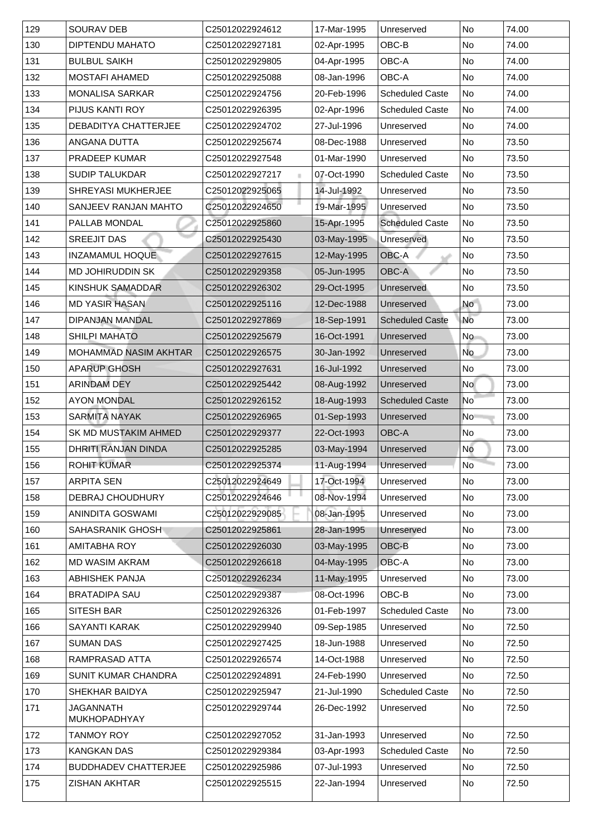| 129 | <b>SOURAV DEB</b>                       | C25012022924612             | 17-Mar-1995 | Unreserved             | No                       | 74.00 |
|-----|-----------------------------------------|-----------------------------|-------------|------------------------|--------------------------|-------|
| 130 | <b>DIPTENDU MAHATO</b>                  | C25012022927181             | 02-Apr-1995 | OBC-B                  | No                       | 74.00 |
| 131 | <b>BULBUL SAIKH</b>                     | C25012022929805             | 04-Apr-1995 | OBC-A                  | No                       | 74.00 |
| 132 | <b>MOSTAFI AHAMED</b>                   | C25012022925088             | 08-Jan-1996 | <b>OBC-A</b>           | No                       | 74.00 |
| 133 | <b>MONALISA SARKAR</b>                  | C25012022924756             | 20-Feb-1996 | <b>Scheduled Caste</b> | No                       | 74.00 |
| 134 | <b>PIJUS KANTI ROY</b>                  | C25012022926395             | 02-Apr-1996 | <b>Scheduled Caste</b> | No                       | 74.00 |
| 135 | <b>DEBADITYA CHATTERJEE</b>             | C25012022924702             | 27-Jul-1996 | Unreserved             | No                       | 74.00 |
| 136 | ANGANA DUTTA                            | C25012022925674             | 08-Dec-1988 | Unreserved             | No                       | 73.50 |
| 137 | <b>PRADEEP KUMAR</b>                    | C25012022927548             | 01-Mar-1990 | Unreserved             | No                       | 73.50 |
| 138 | <b>SUDIP TALUKDAR</b>                   | C25012022927217             | 07-Oct-1990 | <b>Scheduled Caste</b> | No                       | 73.50 |
| 139 | <b>SHREYASI MUKHERJEE</b>               | C25012022925065             | 14-Jul-1992 | Unreserved             | No                       | 73.50 |
| 140 | <b>SANJEEV RANJAN MAHTO</b>             | C25012022924650             | 19-Mar-1995 | Unreserved             | No                       | 73.50 |
| 141 | PALLAB MONDAL                           | C25012022925860             | 15-Apr-1995 | <b>Scheduled Caste</b> | No                       | 73.50 |
| 142 | <b>SREEJIT DAS</b>                      | C25012022925430             | 03-May-1995 | Unreserved             | No                       | 73.50 |
| 143 | <b>INZAMAMUL HOQUE</b>                  | C25012022927615             | 12-May-1995 | OBC-A                  | N <sub>o</sub>           | 73.50 |
| 144 | <b>MD JOHIRUDDIN SK</b>                 | C25012022929358             | 05-Jun-1995 | <b>OBC-A</b>           | No                       | 73.50 |
| 145 | <b>KINSHUK SAMADDAR</b>                 | C25012022926302             | 29-Oct-1995 | <b>Unreserved</b>      | No                       | 73.50 |
| 146 | <b>MD YASIR HASAN</b>                   | C25012022925116             | 12-Dec-1988 | Unreserved             | No                       | 73.00 |
| 147 | <b>DIPANJAN MANDAL</b>                  | C25012022927869             | 18-Sep-1991 | <b>Scheduled Caste</b> | <b>No</b>                | 73.00 |
| 148 | <b>SHILPI MAHATO</b>                    | C25012022925679             | 16-Oct-1991 | Unreserved             | No                       | 73.00 |
| 149 | <b>MOHAMMAD NASIM AKHTAR</b>            | C25012022926575             | 30-Jan-1992 | Unreserved             | No                       | 73.00 |
| 150 | <b>APARUP GHOSH</b>                     | C25012022927631             | 16-Jul-1992 | Unreserved             | $\overline{\mathsf{No}}$ | 73.00 |
| 151 | <b>ARINDAM DEY</b>                      | C25012022925442             | 08-Aug-1992 | Unreserved             | No l                     | 73.00 |
| 152 | <b>AYON MONDAL</b>                      | C25012022926152             | 18-Aug-1993 | <b>Scheduled Caste</b> | No                       | 73.00 |
| 153 | <b>SARMITA NAYAK</b>                    | C25012022926965             | 01-Sep-1993 | Unreserved             | No                       | 73.00 |
| 154 | <b>SK MD MUSTAKIM AHMED</b>             | C25012022929377             | 22-Oct-1993 | <b>OBC-A</b>           | No                       | 73.00 |
| 155 | DHRITI RANJAN DINDA                     | C25012022925285             | 03-May-1994 | Unreserved             | <b>No</b>                | 73.00 |
| 156 | <b>ROHIT KUMAR</b>                      | C25012022925374             | 11-Aug-1994 | Unreserved             | <b>No</b>                | 73.00 |
| 157 | <b>ARPITA SEN</b>                       | C25012022924649             | 17-Oct-1994 | Unreserved             | No                       | 73.00 |
| 158 | <b>DEBRAJ CHOUDHURY</b>                 | C25012022924646             | 08-Nov-1994 | Unreserved             | No                       | 73.00 |
| 159 | <b>ANINDITA GOSWAMI</b>                 | C25012022929085             | 08-Jan-1995 | Unreserved             | No                       | 73.00 |
| 160 | <b>SAHASRANIK GHOSH</b>                 | C25012022925861             | 28-Jan-1995 | <b>Unreserved</b>      | No                       | 73.00 |
| 161 | <b>AMITABHA ROY</b>                     | C25012022926030             | 03-May-1995 | OBC-B                  | No                       | 73.00 |
| 162 | <b>MD WASIM AKRAM</b>                   | C25012022926618             | 04-May-1995 | OBC-A                  | No                       | 73.00 |
| 163 | <b>ABHISHEK PANJA</b>                   | C25012022926234             | 11-May-1995 | Unreserved             | No                       | 73.00 |
| 164 | <b>BRATADIPA SAU</b>                    | C25012022929387             | 08-Oct-1996 | OBC-B                  | No                       | 73.00 |
| 165 | <b>SITESH BAR</b>                       | C25012022926326             | 01-Feb-1997 | <b>Scheduled Caste</b> | No                       | 73.00 |
| 166 | <b>SAYANTI KARAK</b>                    | C25012022929940             | 09-Sep-1985 | Unreserved             | No                       | 72.50 |
| 167 | <b>SUMAN DAS</b>                        | C25012022927425             | 18-Jun-1988 | Unreserved             | No                       | 72.50 |
| 168 | RAMPRASAD ATTA                          | C25012022926574             | 14-Oct-1988 | Unreserved             | No                       | 72.50 |
| 169 | <b>SUNIT KUMAR CHANDRA</b>              | C25012022924891             | 24-Feb-1990 | Unreserved             | No                       | 72.50 |
| 170 | <b>SHEKHAR BAIDYA</b>                   | C25012022925947             | 21-Jul-1990 | <b>Scheduled Caste</b> | No                       | 72.50 |
| 171 | <b>JAGANNATH</b><br><b>MUKHOPADHYAY</b> | C25012022929744             | 26-Dec-1992 | Unreserved             | No                       | 72.50 |
| 172 | TANMOY ROY                              | C25012022927052             | 31-Jan-1993 | Unreserved             | No                       | 72.50 |
| 173 | <b>KANGKAN DAS</b>                      | C25012022929384             | 03-Apr-1993 | <b>Scheduled Caste</b> | No                       | 72.50 |
| 174 | <b>BUDDHADEV CHATTERJEE</b>             | C <sub>25012022925986</sub> | 07-Jul-1993 | Unreserved             | No                       | 72.50 |
| 175 | <b>ZISHAN AKHTAR</b>                    | C25012022925515             | 22-Jan-1994 | Unreserved             | No                       | 72.50 |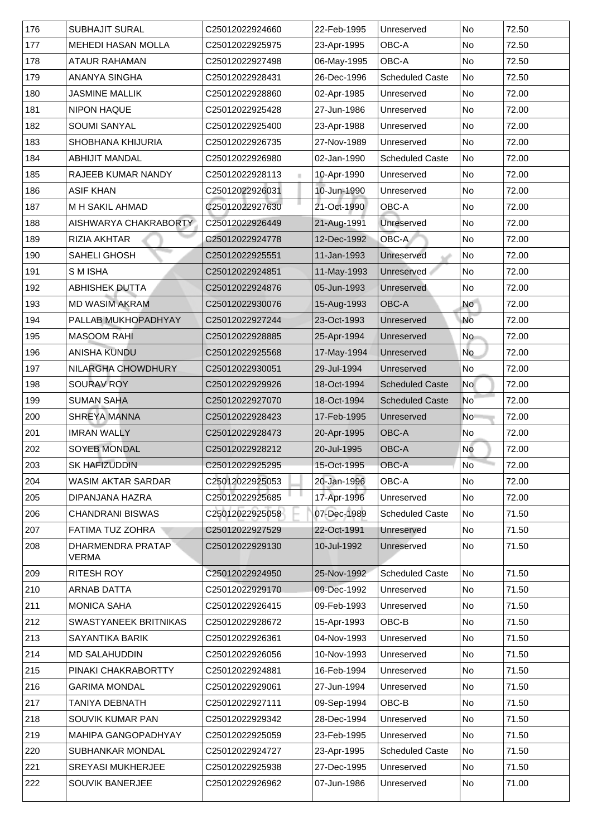| 176 | <b>SUBHAJIT SURAL</b>                    | C25012022924660 | 22-Feb-1995  | Unreserved             | No             | 72.50 |
|-----|------------------------------------------|-----------------|--------------|------------------------|----------------|-------|
| 177 | <b>MEHEDI HASAN MOLLA</b>                | C25012022925975 | 23-Apr-1995  | <b>OBC-A</b>           | No             | 72.50 |
| 178 | <b>ATAUR RAHAMAN</b>                     | C25012022927498 | 06-May-1995  | OBC-A                  | N <sub>o</sub> | 72.50 |
| 179 | <b>ANANYA SINGHA</b>                     | C25012022928431 | 26-Dec-1996  | <b>Scheduled Caste</b> | No             | 72.50 |
| 180 | <b>JASMINE MALLIK</b>                    | C25012022928860 | 02-Apr-1985  | Unreserved             | No             | 72.00 |
| 181 | <b>NIPON HAQUE</b>                       | C25012022925428 | 27-Jun-1986  | Unreserved             | N <sub>o</sub> | 72.00 |
| 182 | <b>SOUMI SANYAL</b>                      | C25012022925400 | 23-Apr-1988  | Unreserved             | No             | 72.00 |
| 183 | <b>SHOBHANA KHIJURIA</b>                 | C25012022926735 | 27-Nov-1989  | Unreserved             | N <sub>o</sub> | 72.00 |
| 184 | <b>ABHIJIT MANDAL</b>                    | C25012022926980 | 02-Jan-1990  | <b>Scheduled Caste</b> | N <sub>o</sub> | 72.00 |
| 185 | <b>RAJEEB KUMAR NANDY</b>                | C25012022928113 | 10-Apr-1990  | Unreserved             | No             | 72.00 |
| 186 | <b>ASIF KHAN</b>                         | C25012022926031 | 10-Jun-1990  | Unreserved             | No             | 72.00 |
| 187 | <b>M H SAKIL AHMAD</b>                   | C25012022927630 | 21-Oct-1990  | <b>OBC-A</b>           | No             | 72.00 |
| 188 | AISHWARYA CHAKRABORTY                    | C25012022926449 | 21-Aug-1991  | Unreserved             | No             | 72.00 |
| 189 | <b>RIZIA AKHTAR</b>                      | C25012022924778 | 12-Dec-1992  | OBC-A                  | No             | 72.00 |
| 190 | <b>SAHELI GHOSH</b>                      | C25012022925551 | 11-Jan-1993  | Unreserved             | No             | 72.00 |
| 191 | <b>SMISHA</b>                            | C25012022924851 | 11-May-1993  | Unreserved             | No             | 72.00 |
| 192 | <b>ABHISHEK DUTTA</b>                    | C25012022924876 | 05-Jun-1993  | Unreserved             | No             | 72.00 |
| 193 | <b>MD WASIM AKRAM</b>                    | C25012022930076 | 15-Aug-1993  | <b>OBC-A</b>           | No             | 72.00 |
| 194 | PALLAB MUKHOPADHYAY                      | C25012022927244 | 23-Oct-1993  | Unreserved             | <b>No</b>      | 72.00 |
| 195 | <b>MASOOM RAHI</b>                       | C25012022928885 | 25-Apr-1994  | Unreserved             | No             | 72.00 |
| 196 | <b>ANISHA KUNDU</b>                      | C25012022925568 | 17-May-1994  | Unreserved             | No             | 72.00 |
| 197 | NILARGHA CHOWDHURY                       | C25012022930051 | 29-Jul-1994  | Unreserved             | No No          | 72.00 |
| 198 | <b>SOURAV ROY</b>                        | C25012022929926 | 18-Oct-1994  | <b>Scheduled Caste</b> | <b>No</b>      | 72.00 |
| 199 | <b>SUMAN SAHA</b>                        | C25012022927070 | 18-Oct-1994  | <b>Scheduled Caste</b> | No             | 72.00 |
| 200 | <b>SHREYA MANNA</b>                      | C25012022928423 | 17-Feb-1995  | Unreserved             | No             | 72.00 |
| 201 | <b>IMRAN WALLY</b>                       | C25012022928473 | 20-Apr-1995  | <b>OBC-A</b>           | No             | 72.00 |
| 202 | <b>SOYEB MONDAL</b>                      | C25012022928212 | 20-Jul-1995  | <b>OBC-A</b>           | <b>No</b>      | 72.00 |
| 203 | <b>SK HAFIZUDDIN</b>                     | C25012022925295 | 15-Oct-1995  | <b>OBC-A</b>           | <b>No</b>      | 72.00 |
| 204 | WASIM AKTAR SARDAR                       | C25012022925053 | 20-Jan-1996  | OBC-A                  | No             | 72.00 |
| 205 | DIPANJANA HAZRA                          | C25012022925685 | 17-Apr-1996  | Unreserved             | No             | 72.00 |
| 206 | <b>CHANDRANI BISWAS</b>                  | C25012022925058 | 07-Dec-1989  | <b>Scheduled Caste</b> | No             | 71.50 |
| 207 | FATIMA TUZ ZOHRA                         | C25012022927529 | 22-Oct-1991  | Unreserved             | No No          | 71.50 |
| 208 | <b>DHARMENDRA PRATAP</b><br><b>VERMA</b> | C25012022929130 | 10-Jul-1992  | Unreserved             | No             | 71.50 |
| 209 | <b>RITESH ROY</b>                        | C25012022924950 | 25-Nov-1992  | <b>Scheduled Caste</b> | No             | 71.50 |
| 210 | <b>ARNAB DATTA</b>                       | C25012022929170 | 109-Dec-1992 | Unreserved             | No No          | 71.50 |
| 211 | <b>MONICA SAHA</b>                       | C25012022926415 | 09-Feb-1993  | Unreserved             | N <sub>o</sub> | 71.50 |
| 212 | <b>SWASTYANEEK BRITNIKAS</b>             | C25012022928672 | 15-Apr-1993  | OBC-B                  | No             | 71.50 |
| 213 | <b>SAYANTIKA BARIK</b>                   | C25012022926361 | 04-Nov-1993  | Unreserved             | No             | 71.50 |
| 214 | <b>MD SALAHUDDIN</b>                     | C25012022926056 | 10-Nov-1993  | Unreserved             | No             | 71.50 |
| 215 | PINAKI CHAKRABORTTY                      | C25012022924881 | 16-Feb-1994  | Unreserved             | No             | 71.50 |
| 216 | <b>GARIMA MONDAL</b>                     | C25012022929061 | 27-Jun-1994  | Unreserved             | No             | 71.50 |
| 217 | <b>TANIYA DEBNATH</b>                    | C25012022927111 | 09-Sep-1994  | OBC-B                  | No             | 71.50 |
| 218 | <b>SOUVIK KUMAR PAN</b>                  | C25012022929342 | 28-Dec-1994  | Unreserved             | No             | 71.50 |
| 219 | <b>MAHIPA GANGOPADHYAY</b>               | C25012022925059 | 23-Feb-1995  | Unreserved             | No             | 71.50 |
| 220 | <b>SUBHANKAR MONDAL</b>                  | C25012022924727 | 23-Apr-1995  | <b>Scheduled Caste</b> | No             | 71.50 |
| 221 | <b>SREYASI MUKHERJEE</b>                 | C25012022925938 | 27-Dec-1995  | Unreserved             | No             | 71.50 |
| 222 | <b>SOUVIK BANERJEE</b>                   | C25012022926962 | 07-Jun-1986  | Unreserved             | No             | 71.00 |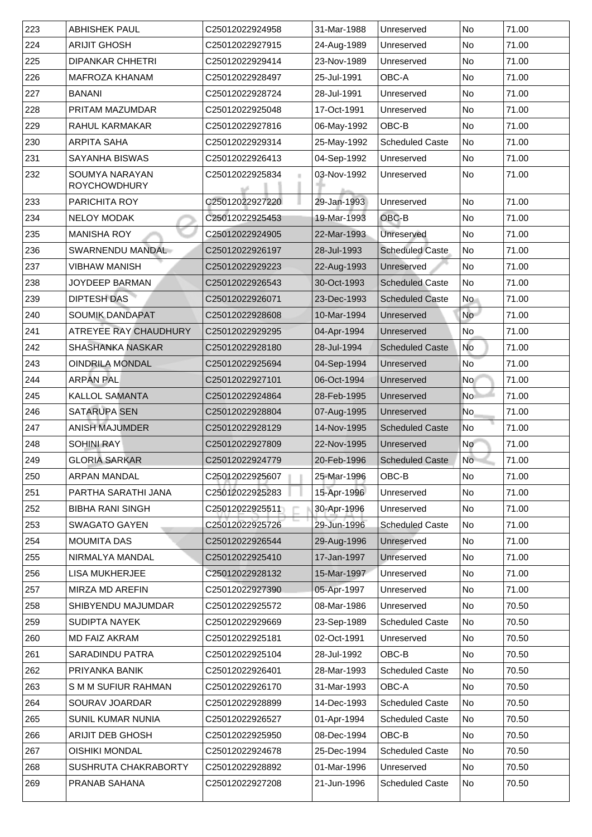| 223 | <b>ABHISHEK PAUL</b>                         | C25012022924958 | 31-Mar-1988 | Unreserved             | <b>No</b>       | 71.00 |
|-----|----------------------------------------------|-----------------|-------------|------------------------|-----------------|-------|
| 224 | <b>ARIJIT GHOSH</b>                          | C25012022927915 | 24-Aug-1989 | Unreserved             | No              | 71.00 |
| 225 | <b>DIPANKAR CHHETRI</b>                      | C25012022929414 | 23-Nov-1989 | Unreserved             | N <sub>o</sub>  | 71.00 |
| 226 | <b>MAFROZA KHANAM</b>                        | C25012022928497 | 25-Jul-1991 | OBC-A                  | No              | 71.00 |
| 227 | <b>BANANI</b>                                | C25012022928724 | 28-Jul-1991 | Unreserved             | N <sub>o</sub>  | 71.00 |
| 228 | <b>PRITAM MAZUMDAR</b>                       | C25012022925048 | 17-Oct-1991 | Unreserved             | N <sub>o</sub>  | 71.00 |
| 229 | <b>RAHUL KARMAKAR</b>                        | C25012022927816 | 06-May-1992 | OBC-B                  | No              | 71.00 |
| 230 | <b>ARPITA SAHA</b>                           | C25012022929314 | 25-May-1992 | <b>Scheduled Caste</b> | N <sub>o</sub>  | 71.00 |
| 231 | <b>SAYANHA BISWAS</b>                        | C25012022926413 | 04-Sep-1992 | Unreserved             | N <sub>o</sub>  | 71.00 |
| 232 | <b>SOUMYA NARAYAN</b><br><b>ROYCHOWDHURY</b> | C25012022925834 | 03-Nov-1992 | Unreserved             | <b>No</b>       | 71.00 |
| 233 | <b>PARICHITA ROY</b>                         | C25012022927220 | 29-Jan-1993 | Unreserved             | N <sub>o</sub>  | 71.00 |
| 234 | <b>NELOY MODAK</b>                           | C25012022925453 | 19-Mar-1993 | OBC-B                  | <b>No</b>       | 71.00 |
| 235 | <b>MANISHA ROY</b>                           | C25012022924905 | 22-Mar-1993 | Unreserved             | <b>No</b>       | 71.00 |
| 236 | <b>SWARNENDU MANDAL</b>                      | C25012022926197 | 28-Jul-1993 | <b>Scheduled Caste</b> | No              | 71.00 |
| 237 | <b>VIBHAW MANISH</b>                         | C25012022929223 | 22-Aug-1993 | Unreserved             | No              | 71.00 |
| 238 | <b>JOYDEEP BARMAN</b>                        | C25012022926543 | 30-Oct-1993 | <b>Scheduled Caste</b> | No              | 71.00 |
| 239 | <b>DIPTESH DAS</b>                           | C25012022926071 | 23-Dec-1993 | <b>Scheduled Caste</b> | <b>No</b>       | 71.00 |
| 240 | <b>SOUMIK DANDAPAT</b>                       | C25012022928608 | 10-Mar-1994 | Unreserved             | No l            | 71.00 |
| 241 | ATREYEE RAY CHAUDHURY                        | C25012022929295 | 04-Apr-1994 | Unreserved             | No              | 71.00 |
| 242 | <b>SHASHANKA NASKAR</b>                      | C25012022928180 | 28-Jul-1994 | <b>Scheduled Caste</b> | No              | 71.00 |
| 243 | <b>OINDRILA MONDAL</b>                       | C25012022925694 | 04-Sep-1994 | Unreserved             | No <sup>1</sup> | 71.00 |
| 244 | <b>ARPAN PAL</b>                             | C25012022927101 | 06-Oct-1994 | Unreserved             | No l            | 71.00 |
| 245 | <b>KALLOL SAMANTA</b>                        | C25012022924864 | 28-Feb-1995 | <b>Unreserved</b>      | No <sup>1</sup> | 71.00 |
| 246 | <b>SATARUPA SEN</b>                          | C25012022928804 | 07-Aug-1995 | Unreserved             | No              | 71.00 |
| 247 | <b>ANISH MAJUMDER</b>                        | C25012022928129 | 14-Nov-1995 | <b>Scheduled Caste</b> | $\sf N$ o       | 71.00 |
| 248 | <b>SOHINI RAY</b>                            | C25012022927809 | 22-Nov-1995 | Unreserved             | N <sub>o</sub>  | 71.00 |
| 249 | <b>GLORIA SARKAR</b>                         | C25012022924779 | 20-Feb-1996 | <b>Scheduled Caste</b> | <b>No</b>       | 71.00 |
| 250 | <b>ARPAN MANDAL</b>                          | C25012022925607 | 25-Mar-1996 | OBC-B                  | No              | 71.00 |
| 251 | PARTHA SARATHI JANA                          | C25012022925283 | 15-Apr-1996 | Unreserved             | No              | 71.00 |
| 252 | <b>BIBHA RANI SINGH</b>                      | C25012022925511 | 30-Apr-1996 | Unreserved             | No              | 71.00 |
| 253 | <b>SWAGATO GAYEN</b>                         | C25012022925726 | 29-Jun-1996 | <b>Scheduled Caste</b> | No              | 71.00 |
| 254 | <b>MOUMITA DAS</b>                           | C25012022926544 | 29-Aug-1996 | Unreserved             | No              | 71.00 |
| 255 | NIRMALYA MANDAL                              | C25012022925410 | 17-Jan-1997 | Unreserved             | No              | 71.00 |
| 256 | <b>LISA MUKHERJEE</b>                        | C25012022928132 | 15-Mar-1997 | Unreserved             | No              | 71.00 |
| 257 | <b>MIRZA MD AREFIN</b>                       | C25012022927390 | 05-Apr-1997 | Unreserved             | No              | 71.00 |
| 258 | <b>SHIBYENDU MAJUMDAR</b>                    | C25012022925572 | 08-Mar-1986 | Unreserved             | N <sub>o</sub>  | 70.50 |
| 259 | <b>SUDIPTA NAYEK</b>                         | C25012022929669 | 23-Sep-1989 | <b>Scheduled Caste</b> | No              | 70.50 |
| 260 | <b>IMD FAIZ AKRAM</b>                        | C25012022925181 | 02-Oct-1991 | Unreserved             | N <sub>o</sub>  | 70.50 |
| 261 | <b>SARADINDU PATRA</b>                       | C25012022925104 | 28-Jul-1992 | OBC-B                  | No              | 70.50 |
| 262 | PRIYANKA BANIK                               | C25012022926401 | 28-Mar-1993 | <b>Scheduled Caste</b> | No              | 70.50 |
| 263 | <b>SMM SUFIUR RAHMAN</b>                     | C25012022926170 | 31-Mar-1993 | OBC-A                  | No              | 70.50 |
| 264 | <b>SOURAV JOARDAR</b>                        | C25012022928899 | 14-Dec-1993 | <b>Scheduled Caste</b> | No              | 70.50 |
| 265 | <b>SUNIL KUMAR NUNIA</b>                     | C25012022926527 | 01-Apr-1994 | <b>Scheduled Caste</b> | No              | 70.50 |
| 266 | <b>ARIJIT DEB GHOSH</b>                      | C25012022925950 | 08-Dec-1994 | OBC-B                  | No              | 70.50 |
| 267 | <b>OISHIKI MONDAL</b>                        | C25012022924678 | 25-Dec-1994 | <b>Scheduled Caste</b> | No              | 70.50 |
| 268 | <b>SUSHRUTA CHAKRABORTY</b>                  | C25012022928892 | 01-Mar-1996 | Unreserved             | No              | 70.50 |
| 269 | <b>PRANAB SAHANA</b>                         | C25012022927208 | 21-Jun-1996 | <b>Scheduled Caste</b> | No              | 70.50 |
|     |                                              |                 |             |                        |                 |       |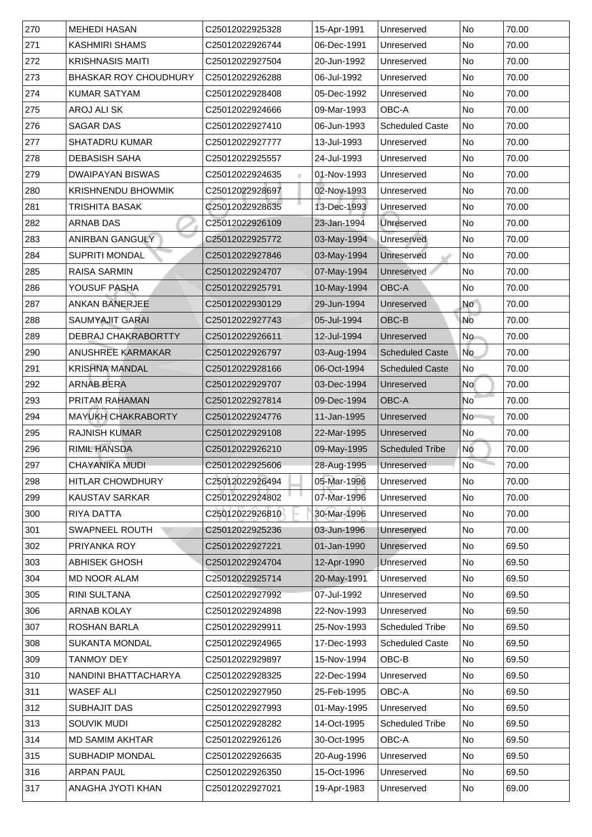| 270   | <b>MEHEDI HASAN</b>          | C25012022925328             | 15-Apr-1991 | Unreserved             | <b>No</b>      | 70.00 |
|-------|------------------------------|-----------------------------|-------------|------------------------|----------------|-------|
| 271   | <b>KASHMIRI SHAMS</b>        | C25012022926744             | 06-Dec-1991 | Unreserved             | No             | 70.00 |
| 272   | <b>KRISHNASIS MAITI</b>      | C25012022927504             | 20-Jun-1992 | Unreserved             | No             | 70.00 |
| 273   | <b>BHASKAR ROY CHOUDHURY</b> | C <sub>25012022926288</sub> | 06-Jul-1992 | Unreserved             | No             | 70.00 |
| 274   | <b>KUMAR SATYAM</b>          | C25012022928408             | 05-Dec-1992 | Unreserved             | No             | 70.00 |
| 275   | AROJ ALI SK                  | C25012022924666             | 09-Mar-1993 | <b>OBC-A</b>           | No             | 70.00 |
| 276   | <b>SAGAR DAS</b>             | C25012022927410             | 06-Jun-1993 | <b>Scheduled Caste</b> | No             | 70.00 |
| 277   | <b>SHATADRU KUMAR</b>        | C25012022927777             | 13-Jul-1993 | Unreserved             | No             | 70.00 |
| 278   | <b>DEBASISH SAHA</b>         | C25012022925557             | 24-Jul-1993 | Unreserved             | No             | 70.00 |
| 279   | <b>DWAIPAYAN BISWAS</b>      | C25012022924635             | 01-Nov-1993 | Unreserved             | No             | 70.00 |
| 280   | <b>KRISHNENDU BHOWMIK</b>    | C25012022928697             | 02-Nov-1993 | Unreserved             | No             | 70.00 |
| 281   | <b>TRISHITA BASAK</b>        | C25012022928635             | 13-Dec-1993 | Unreserved             | No             | 70.00 |
| 282   | <b>ARNAB DAS</b>             | C25012022926109             | 23-Jan-1994 | Unreserved             | No             | 70.00 |
| 283   | <b>ANIRBAN GANGULY</b>       | C25012022925772             | 03-May-1994 | Unreserved             | No             | 70.00 |
| 284   | <b>SUPRITI MONDAL</b>        | C25012022927846             | 03-May-1994 | Unreserved             | No             | 70.00 |
| 285   | <b>RAISA SARMIN</b>          | C25012022924707             | 07-May-1994 | Unreserved             | No             | 70.00 |
| 286   | <b>YOUSUF PASHA</b>          | C25012022925791             | 10-May-1994 | <b>OBC-A</b>           | <b>No</b>      | 70.00 |
| 287   | <b>ANKAN BANERJEE</b>        | C25012022930129             | 29-Jun-1994 | Unreserved             | <b>No</b>      | 70.00 |
| 288   | <b>SAUMYAJIT GARAI</b>       | C25012022927743             | 05-Jul-1994 | OBC-B                  | No             | 70.00 |
| 289   | <b>DEBRAJ CHAKRABORTTY</b>   | C25012022926611             | 12-Jul-1994 | Unreserved             | No             | 70.00 |
| 290   | <b>ANUSHREE KARMAKAR</b>     | C25012022926797             | 03-Aug-1994 | <b>Scheduled Caste</b> | No             | 70.00 |
| 291   | <b>KRISHNA MANDAL</b>        | C25012022928166             | 06-Oct-1994 | <b>Scheduled Caste</b> | No             | 70.00 |
| 292   | <b>ARNAB BERA</b>            | C25012022929707             | 03-Dec-1994 | Unreserved             | No             | 70.00 |
| 293   | <b>PRITAM RAHAMAN</b>        | C25012022927814             | 09-Dec-1994 | <b>OBC-A</b>           | N <sub>o</sub> | 70.00 |
| 294   | <b>MAYUKH CHAKRABORTY</b>    | C25012022924776             | 11-Jan-1995 | Unreserved             | No             | 70.00 |
| 295   | <b>RAJNISH KUMAR</b>         | C25012022929108             | 22-Mar-1995 | Unreserved             | No             | 70.00 |
| 296   | <b>RIMIL HANSDA</b>          | C25012022926210             | 09-May-1995 | <b>Scheduled Tribe</b> | No             | 70.00 |
| 297   | <b>CHAYANIKA MUDI</b>        | C25012022925606             | 28-Aug-1995 | Unreserved             | <b>No</b>      | 70.00 |
| 298   | <b>HITLAR CHOWDHURY</b>      | C25012022926494             | 05-Mar-1996 | Unreserved             | No             | 70.00 |
| 299   | <b>KAUSTAV SARKAR</b>        | C25012022924802             | 07-Mar-1996 | Unreserved             | No             | 70.00 |
| 300   | <b>RIYA DATTA</b>            | C25012022926810             | 30-Mar-1996 | Unreserved             | No             | 70.00 |
| 301   | <b>SWAPNEEL ROUTH</b>        | C25012022925236             | 03-Jun-1996 | Unreserved             | No             | 70.00 |
| 302   | <b>PRIYANKA ROY</b>          | C25012022927221             | 01-Jan-1990 | Unreserved             | No             | 69.50 |
| 303   | <b>ABHISEK GHOSH</b>         | C25012022924704             | 12-Apr-1990 | Unreserved             | No             | 69.50 |
| 304   | <b>MD NOOR ALAM</b>          | C25012022925714             | 20-May-1991 | Unreserved             | No             | 69.50 |
| 305   | <b>RINI SULTANA</b>          | C25012022927992             | 07-Jul-1992 | Unreserved             | No             | 69.50 |
| 306   | <b>ARNAB KOLAY</b>           | C25012022924898             | 22-Nov-1993 | Unreserved             | No             | 69.50 |
| 307   | <b>ROSHAN BARLA</b>          | C25012022929911             | 25-Nov-1993 | <b>Scheduled Tribe</b> | No             | 69.50 |
| 308   | <b>SUKANTA MONDAL</b>        | C25012022924965             | 17-Dec-1993 | <b>Scheduled Caste</b> | No             | 69.50 |
| 309   | TANMOY DEY                   | C25012022929897             | 15-Nov-1994 | OBC-B                  | <b>No</b>      | 69.50 |
| 310   | NANDINI BHATTACHARYA         | C25012022928325             | 22-Dec-1994 | Unreserved             | No             | 69.50 |
| 311   | <b>WASEF ALI</b>             | C25012022927950             | 25-Feb-1995 | <b>OBC-A</b>           | No             | 69.50 |
| $312$ | <b>SUBHAJIT DAS</b>          | C25012022927993             | 01-May-1995 | Unreserved             | No             | 69.50 |
| 313   | <b>SOUVIK MUDI</b>           | C25012022928282             | 14-Oct-1995 | <b>Scheduled Tribe</b> | No             | 69.50 |
| 314   | <b>MD SAMIM AKHTAR</b>       | C25012022926126             | 30-Oct-1995 | <b>OBC-A</b>           | No             | 69.50 |
| 315   | <b>SUBHADIP MONDAL</b>       | C25012022926635             | 20-Aug-1996 | Unreserved             | No             | 69.50 |
| 316   | <b>ARPAN PAUL</b>            | C25012022926350             | 15-Oct-1996 | Unreserved             | No             | 69.50 |
| 317   | ANAGHA JYOTI KHAN            | C25012022927021             | 19-Apr-1983 | Unreserved             | No             | 69.00 |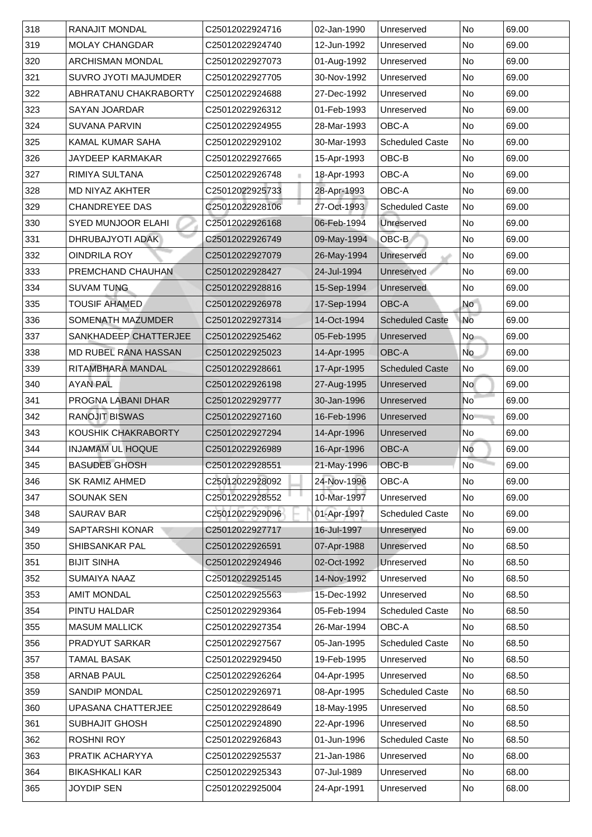| 318   | <b>RANAJIT MONDAL</b>       | C25012022924716 | 02-Jan-1990 | Unreserved             | <b>No</b>                | 69.00 |
|-------|-----------------------------|-----------------|-------------|------------------------|--------------------------|-------|
| 319   | <b>MOLAY CHANGDAR</b>       | C25012022924740 | 12-Jun-1992 | Unreserved             | <b>No</b>                | 69.00 |
| 320   | <b>ARCHISMAN MONDAL</b>     | C25012022927073 | 01-Aug-1992 | Unreserved             | No                       | 69.00 |
| 321   | <b>SUVRO JYOTI MAJUMDER</b> | C25012022927705 | 30-Nov-1992 | Unreserved             | No                       | 69.00 |
| 322   | ABHRATANU CHAKRABORTY       | C25012022924688 | 27-Dec-1992 | Unreserved             | No                       | 69.00 |
| 323   | <b>SAYAN JOARDAR</b>        | C25012022926312 | 01-Feb-1993 | Unreserved             | No                       | 69.00 |
| 324   | <b>SUVANA PARVIN</b>        | C25012022924955 | 28-Mar-1993 | <b>OBC-A</b>           | No                       | 69.00 |
| 325   | <b>KAMAL KUMAR SAHA</b>     | C25012022929102 | 30-Mar-1993 | <b>Scheduled Caste</b> | No                       | 69.00 |
| 326   | <b>JAYDEEP KARMAKAR</b>     | C25012022927665 | 15-Apr-1993 | OBC-B                  | No                       | 69.00 |
| 327   | <b>RIMIYA SULTANA</b>       | C25012022926748 | 18-Apr-1993 | <b>OBC-A</b>           | <b>No</b>                | 69.00 |
| 328   | <b>MD NIYAZ AKHTER</b>      | C25012022925733 | 28-Apr-1993 | <b>OBC-A</b>           | <b>No</b>                | 69.00 |
| 329   | <b>CHANDREYEE DAS</b>       | C25012022928106 | 27-Oct-1993 | <b>Scheduled Caste</b> | No                       | 69.00 |
| 330   | <b>SYED MUNJOOR ELAHI</b>   | C25012022926168 | 06-Feb-1994 | <b>Unreserved</b>      | No                       | 69.00 |
| 331   | <b>DHRUBAJYOTI ADAK</b>     | C25012022926749 | 09-May-1994 | OBC-B                  | No                       | 69.00 |
| 332   | <b>OINDRILA ROY</b>         | C25012022927079 | 26-May-1994 | Unreserved             | No                       | 69.00 |
| 333   | PREMCHAND CHAUHAN           | C25012022928427 | 24-Jul-1994 | <b>Unreserved</b>      | No                       | 69.00 |
| 334   | <b>SUVAM TUNG</b>           | C25012022928816 | 15-Sep-1994 | <b>Unreserved</b>      | No                       | 69.00 |
| 335   | <b>TOUSIF AHAMED</b>        | C25012022926978 | 17-Sep-1994 | <b>OBC-A</b>           | <b>No</b>                | 69.00 |
| 336   | <b>SOMENATH MAZUMDER</b>    | C25012022927314 | 14-Oct-1994 | <b>Scheduled Caste</b> | <b>No</b>                | 69.00 |
| 337   | SANKHADEEP CHATTERJEE       | C25012022925462 | 05-Feb-1995 | Unreserved             | <b>No</b>                | 69.00 |
| 338   | <b>MD RUBEL RANA HASSAN</b> | C25012022925023 | 14-Apr-1995 | <b>OBC-A</b>           | <b>No</b>                | 69.00 |
| 339   | <b>RITAMBHARA MANDAL</b>    | C25012022928661 | 17-Apr-1995 | <b>Scheduled Caste</b> | No                       | 69.00 |
| 340   | <b>AYAN PAL</b>             | C25012022926198 | 27-Aug-1995 | Unreserved             | No                       | 69.00 |
| 341   | <b>PROGNA LABANI DHAR</b>   | C25012022929777 | 30-Jan-1996 | Unreserved             | $\overline{\mathsf{No}}$ | 69.00 |
| 342   | <b>RANOJIT BISWAS</b>       | C25012022927160 | 16-Feb-1996 | Unreserved             | N <sub>o</sub>           | 69.00 |
| 343   | <b>KOUSHIK CHAKRABORTY</b>  | C25012022927294 | 14-Apr-1996 | Unreserved             | No.                      | 69.00 |
| 344   | <b>INJAMAM UL HOQUE</b>     | C25012022926989 | 16-Apr-1996 | <b>OBC-A</b>           | No                       | 69.00 |
| $345$ | <b>BASUDEB GHOSH</b>        | C25012022928551 | 21-May-1996 | OBC-B                  | <b>No</b>                | 69.00 |
| 346   | <b>SK RAMIZ AHMED</b>       | C25012022928092 | 24-Nov-1996 | <b>OBC-A</b>           | <b>No</b>                | 69.00 |
| 347   | <b>SOUNAK SEN</b>           | C25012022928552 | 10-Mar-1997 | Unreserved             | No                       | 69.00 |
| 348   | <b>SAURAV BAR</b>           | C25012022929096 | 01-Apr-1997 | <b>Scheduled Caste</b> | No                       | 69.00 |
| 349   | <b>SAPTARSHI KONAR</b>      | C25012022927717 | 16-Jul-1997 | Unreserved             | No                       | 69.00 |
| 350   | <b>SHIBSANKAR PAL</b>       | C25012022926591 | 07-Apr-1988 | Unreserved             | No                       | 68.50 |
| 351   | <b>BIJIT SINHA</b>          | C25012022924946 | 02-Oct-1992 | Unreserved             | No                       | 68.50 |
| 352   | <b>SUMAIYA NAAZ</b>         | C25012022925145 | 14-Nov-1992 | Unreserved             | <b>No</b>                | 68.50 |
| 353   | <b>AMIT MONDAL</b>          | C25012022925563 | 15-Dec-1992 | Unreserved             | No                       | 68.50 |
| 354   | <b>PINTU HALDAR</b>         | C25012022929364 | 05-Feb-1994 | <b>Scheduled Caste</b> | No                       | 68.50 |
| 355   | <b>MASUM MALLICK</b>        | C25012022927354 | 26-Mar-1994 | <b>OBC-A</b>           | <b>No</b>                | 68.50 |
| 356   | <b>PRADYUT SARKAR</b>       | C25012022927567 | 05-Jan-1995 | <b>Scheduled Caste</b> | No                       | 68.50 |
| 357   | <b>TAMAL BASAK</b>          | C25012022929450 | 19-Feb-1995 | Unreserved             | No                       | 68.50 |
| 358   | <b>ARNAB PAUL</b>           | C25012022926264 | 04-Apr-1995 | Unreserved             | No                       | 68.50 |
| 359   | <b>SANDIP MONDAL</b>        | C25012022926971 | 08-Apr-1995 | <b>Scheduled Caste</b> | No                       | 68.50 |
| 360   | UPASANA CHATTERJEE          | C25012022928649 | 18-May-1995 | Unreserved             | No                       | 68.50 |
| 361   | <b>SUBHAJIT GHOSH</b>       | C25012022924890 | 22-Apr-1996 | Unreserved             | No                       | 68.50 |
| 362   | <b>ROSHNI ROY</b>           | C25012022926843 | 01-Jun-1996 | <b>Scheduled Caste</b> | No                       | 68.50 |
| 363   | PRATIK ACHARYYA             | C25012022925537 | 21-Jan-1986 | Unreserved             | No                       | 68.00 |
| 364   | <b>BIKASHKALI KAR</b>       | C25012022925343 | 07-Jul-1989 | Unreserved             | No                       | 68.00 |
| 365   | <b>JOYDIP SEN</b>           | C25012022925004 | 24-Apr-1991 | Unreserved             | No                       | 68.00 |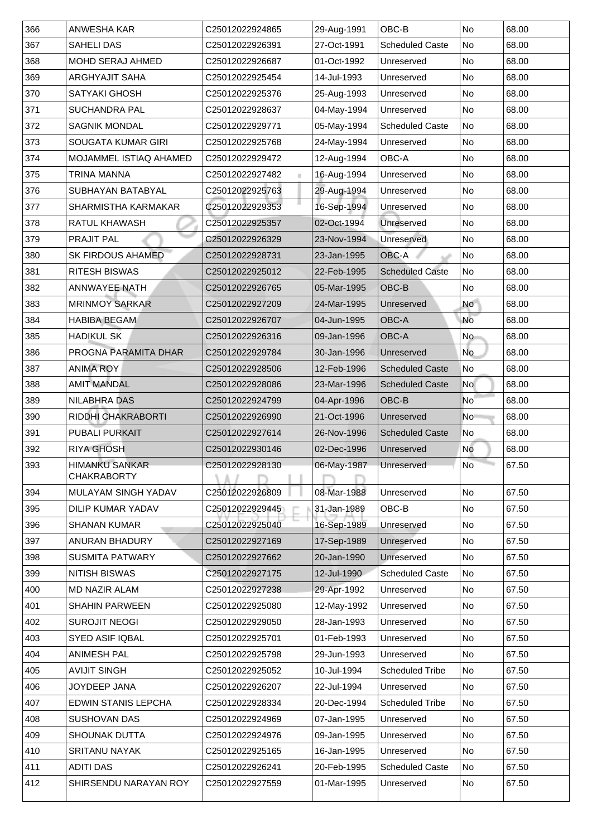| 366 | ANWESHA KAR                   | C25012022924865             | 29-Aug-1991 | OBC-B                  | <b>No</b>      | 68.00 |
|-----|-------------------------------|-----------------------------|-------------|------------------------|----------------|-------|
| 367 | <b>SAHELI DAS</b>             | C25012022926391             | 27-Oct-1991 | <b>Scheduled Caste</b> | <b>No</b>      | 68.00 |
| 368 | <b>MOHD SERAJ AHMED</b>       | C25012022926687             | 01-Oct-1992 | Unreserved             | <b>No</b>      | 68.00 |
| 369 | <b>ARGHYAJIT SAHA</b>         | C25012022925454             | 14-Jul-1993 | Unreserved             | <b>No</b>      | 68.00 |
| 370 | <b>SATYAKI GHOSH</b>          | C25012022925376             | 25-Aug-1993 | Unreserved             | No             | 68.00 |
| 371 | <b>SUCHANDRA PAL</b>          | C25012022928637             | 04-May-1994 | Unreserved             | <b>No</b>      | 68.00 |
| 372 | <b>SAGNIK MONDAL</b>          | C25012022929771             | 05-May-1994 | <b>Scheduled Caste</b> | <b>No</b>      | 68.00 |
| 373 | <b>SOUGATA KUMAR GIRI</b>     | C25012022925768             | 24-May-1994 | Unreserved             | <b>No</b>      | 68.00 |
| 374 | <b>MOJAMMEL ISTIAQ AHAMED</b> | C25012022929472             | 12-Aug-1994 | <b>OBC-A</b>           | <b>No</b>      | 68.00 |
| 375 | TRINA MANNA                   | C25012022927482             | 16-Aug-1994 | Unreserved             | <b>No</b>      | 68.00 |
| 376 | <b>SUBHAYAN BATABYAL</b>      | C25012022925763             | 29-Aug-1994 | Unreserved             | <b>No</b>      | 68.00 |
| 377 | <b>SHARMISTHA KARMAKAR</b>    | C25012022929353             | 16-Sep-1994 | Unreserved             | No             | 68.00 |
| 378 | <b>RATUL KHAWASH</b>          | C25012022925357             | 02-Oct-1994 | Unreserved             | <b>No</b>      | 68.00 |
| 379 | <b>PRAJIT PAL</b>             | C25012022926329             | 23-Nov-1994 | Unreserved             | No             | 68.00 |
| 380 | <b>SK FIRDOUS AHAMED</b>      | C25012022928731             | 23-Jan-1995 | OBC-A                  | No             | 68.00 |
| 381 | <b>RITESH BISWAS</b>          | C25012022925012             | 22-Feb-1995 | <b>Scheduled Caste</b> | No             | 68.00 |
| 382 | <b>ANNWAYEE NATH</b>          | C25012022926765             | 05-Mar-1995 | <b>OBC-B</b>           | No             | 68.00 |
| 383 | <b>MRINMOY SARKAR</b>         | C25012022927209             | 24-Mar-1995 | Unreserved             | <b>No</b>      | 68.00 |
| 384 | <b>HABIBA BEGAM</b>           | C25012022926707             | 04-Jun-1995 | <b>OBC-A</b>           | No             | 68.00 |
| 385 | <b>HADIKUL SK</b>             | C25012022926316             | 09-Jan-1996 | <b>OBC-A</b>           | No.            | 68.00 |
| 386 | PROGNA PARAMITA DHAR          | C25012022929784             | 30-Jan-1996 | Unreserved             | <b>No</b>      | 68.00 |
| 387 | <b>ANIMA ROY</b>              | C25012022928506             | 12-Feb-1996 | <b>Scheduled Caste</b> | No             | 68.00 |
| 388 | <b>AMIT MANDAL</b>            | C25012022928086             | 23-Mar-1996 | <b>Scheduled Caste</b> | <b>No</b>      | 68.00 |
| 389 | <b>NILABHRA DAS</b>           | C25012022924799             | 04-Apr-1996 | <b>OBC-B</b>           | N <sub>o</sub> | 68.00 |
| 390 | <b>RIDDHI CHAKRABORTI</b>     | C25012022926990             | 21-Oct-1996 | Unreserved             | No             | 68.00 |
| 391 | <b>PUBALI PURKAIT</b>         | C25012022927614             | 26-Nov-1996 | <b>Scheduled Caste</b> | No             | 68.00 |
| 392 | <b>RIYA GHOSH</b>             | C25012022930146             | 02-Dec-1996 | Unreserved             | <b>No</b>      | 68.00 |
| 393 | <b>HIMANKU SANKAR</b>         | C25012022928130             | 06-May-1987 | Unreserved             | <b>No</b>      | 67.50 |
|     | <b>CHAKRABORTY</b>            |                             |             |                        |                |       |
| 394 | <b>MULAYAM SINGH YADAV</b>    | C25012022926809             | 08-Mar-1988 | Unreserved             | <b>No</b>      | 67.50 |
| 395 | <b>DILIP KUMAR YADAV</b>      | C25012022929445             | 31-Jan-1989 | OBC-B                  | <b>No</b>      | 67.50 |
| 396 | <b>SHANAN KUMAR</b>           | C25012022925040             | 16-Sep-1989 | Unreserved             | <b>No</b>      | 67.50 |
| 397 | <b>ANURAN BHADURY</b>         | C25012022927169             | 17-Sep-1989 | Unreserved             | No             | 67.50 |
| 398 | <b>SUSMITA PATWARY</b>        | C25012022927662             | 20-Jan-1990 | Unreserved             | No             | 67.50 |
| 399 | <b>NITISH BISWAS</b>          | C25012022927175             | 12-Jul-1990 | <b>Scheduled Caste</b> | No             | 67.50 |
| 400 | <b>MD NAZIR ALAM</b>          | C25012022927238             | 29-Apr-1992 | Unreserved             | No             | 67.50 |
| 401 | <b>SHAHIN PARWEEN</b>         | C25012022925080             | 12-May-1992 | Unreserved             | No             | 67.50 |
| 402 | <b>SUROJIT NEOGI</b>          | C25012022929050             | 28-Jan-1993 | Unreserved             | No             | 67.50 |
| 403 | <b>SYED ASIF IQBAL</b>        | C25012022925701             | 01-Feb-1993 | Unreserved             | <b>No</b>      | 67.50 |
| 404 | <b>ANIMESH PAL</b>            | C25012022925798             | 29-Jun-1993 | Unreserved             | <b>No</b>      | 67.50 |
| 405 | <b>AVIJIT SINGH</b>           | C25012022925052             | 10-Jul-1994 | <b>Scheduled Tribe</b> | <b>No</b>      | 67.50 |
| 406 | <b>JOYDEEP JANA</b>           | C25012022926207             | 22-Jul-1994 | Unreserved             | No             | 67.50 |
| 407 | EDWIN STANIS LEPCHA           | C25012022928334             | 20-Dec-1994 | <b>Scheduled Tribe</b> | No             | 67.50 |
| 408 | <b>SUSHOVAN DAS</b>           | C25012022924969             | 07-Jan-1995 | Unreserved             | No             | 67.50 |
| 409 | <b>SHOUNAK DUTTA</b>          | C25012022924976             | 09-Jan-1995 | Unreserved             | No.            | 67.50 |
| 410 | <b>SRITANU NAYAK</b>          | C25012022925165             | 16-Jan-1995 | Unreserved             | No             | 67.50 |
| 411 | <b>ADITI DAS</b>              | C25012022926241             | 20-Feb-1995 | <b>Scheduled Caste</b> | No             | 67.50 |
| 412 | SHIRSENDU NARAYAN ROY         | C <sub>25012022927559</sub> | 01-Mar-1995 | Unreserved             | No             | 67.50 |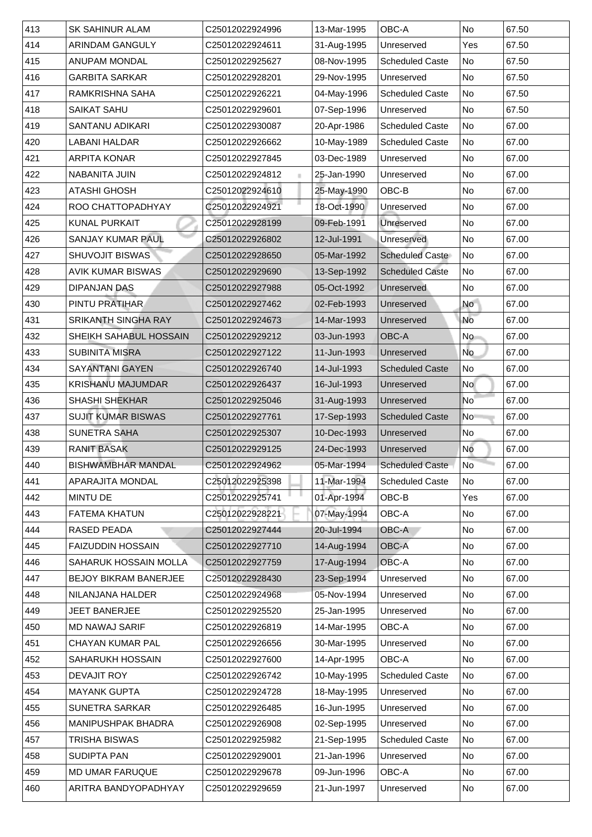| 413 | <b>SK SAHINUR ALAM</b>        | C25012022924996 | 13-Mar-1995 | <b>OBC-A</b>           | <b>No</b>      | 67.50 |
|-----|-------------------------------|-----------------|-------------|------------------------|----------------|-------|
| 414 | <b>ARINDAM GANGULY</b>        | C25012022924611 | 31-Aug-1995 | Unreserved             | Yes            | 67.50 |
| 415 | <b>ANUPAM MONDAL</b>          | C25012022925627 | 08-Nov-1995 | <b>Scheduled Caste</b> | No             | 67.50 |
| 416 | <b>GARBITA SARKAR</b>         | C25012022928201 | 29-Nov-1995 | Unreserved             | No             | 67.50 |
| 417 | RAMKRISHNA SAHA               | C25012022926221 | 04-May-1996 | <b>Scheduled Caste</b> | No             | 67.50 |
| 418 | <b>SAIKAT SAHU</b>            | C25012022929601 | 07-Sep-1996 | Unreserved             | <b>No</b>      | 67.50 |
| 419 | <b>SANTANU ADIKARI</b>        | C25012022930087 | 20-Apr-1986 | <b>Scheduled Caste</b> | No             | 67.00 |
| 420 | <b>LABANI HALDAR</b>          | C25012022926662 | 10-May-1989 | <b>Scheduled Caste</b> | No             | 67.00 |
| 421 | <b>ARPITA KONAR</b>           | C25012022927845 | 03-Dec-1989 | Unreserved             | <b>No</b>      | 67.00 |
| 422 | <b>NABANITA JUIN</b>          | C25012022924812 | 25-Jan-1990 | Unreserved             | No             | 67.00 |
| 423 | <b>ATASHI GHOSH</b>           | C25012022924610 | 25-May-1990 | OBC-B                  | <b>No</b>      | 67.00 |
| 424 | ROO CHATTOPADHYAY             | C25012022924921 | 18-Oct-1990 | Unreserved             | No             | 67.00 |
| 425 | <b>KUNAL PURKAIT</b>          | C25012022928199 | 09-Feb-1991 | Unreserved             | No             | 67.00 |
| 426 | <b>SANJAY KUMAR PAUL</b>      | C25012022926802 | 12-Jul-1991 | Unreserved             | No             | 67.00 |
| 427 | <b>SHUVOJIT BISWAS</b>        | C25012022928650 | 05-Mar-1992 | <b>Scheduled Caste</b> | No             | 67.00 |
| 428 | <b>AVIK KUMAR BISWAS</b>      | C25012022929690 | 13-Sep-1992 | <b>Scheduled Caste</b> | No             | 67.00 |
| 429 | <b>DIPANJAN DAS</b>           | C25012022927988 | 05-Oct-1992 | Unreserved             | <b>No</b>      | 67.00 |
| 430 | <b>PINTU PRATIHAR</b>         | C25012022927462 | 02-Feb-1993 | Unreserved             | <b>No</b>      | 67.00 |
| 431 | <b>SRIKANTH SINGHA RAY</b>    | C25012022924673 | 14-Mar-1993 | Unreserved             | <b>No</b>      | 67.00 |
| 432 | <b>SHEIKH SAHABUL HOSSAIN</b> | C25012022929212 | 03-Jun-1993 | <b>OBC-A</b>           | No             | 67.00 |
| 433 | <b>SUBINITA MISRA</b>         | C25012022927122 | 11-Jun-1993 | Unreserved             | <b>No</b>      | 67.00 |
| 434 | <b>SAYANTANI GAYEN</b>        | C25012022926740 | 14-Jul-1993 | <b>Scheduled Caste</b> | No             | 67.00 |
| 435 | <b>KRISHANU MAJUMDAR</b>      | C25012022926437 | 16-Jul-1993 | Unreserved             | <b>No</b>      | 67.00 |
| 436 | <b>SHASHI SHEKHAR</b>         | C25012022925046 | 31-Aug-1993 | Unreserved             | No             | 67.00 |
| 437 | <b>SUJIT KUMAR BISWAS</b>     | C25012022927761 | 17-Sep-1993 | <b>Scheduled Caste</b> | N <sub>o</sub> | 67.00 |
| 438 | <b>SUNETRA SAHA</b>           | C25012022925307 | 10-Dec-1993 | Unreserved             | No.            | 67.00 |
| 439 | <b>RANIT BASAK</b>            | C25012022929125 | 24-Dec-1993 | Unreserved             | No             | 67.00 |
| 440 | <b>BISHWAMBHAR MANDAL</b>     | C25012022924962 | 05-Mar-1994 | <b>Scheduled Caste</b> | No             | 67.00 |
| 441 | <b>APARAJITA MONDAL</b>       | C25012022925398 | 11-Mar-1994 | <b>Scheduled Caste</b> | No             | 67.00 |
| 442 | <b>MINTU DE</b>               | C25012022925741 | 01-Apr-1994 | OBC-B                  | Yes            | 67.00 |
| 443 | <b>FATEMA KHATUN</b>          | C25012022928221 | 07-May-1994 | <b>OBC-A</b>           | <b>No</b>      | 67.00 |
| 444 | <b>RASED PEADA</b>            | C25012022927444 | 20-Jul-1994 | <b>OBC-A</b>           | No             | 67.00 |
| 445 | <b>FAIZUDDIN HOSSAIN</b>      | C25012022927710 | 14-Aug-1994 | <b>OBC-A</b>           | <b>No</b>      | 67.00 |
| 446 | <b>SAHARUK HOSSAIN MOLLA</b>  | C25012022927759 | 17-Aug-1994 | OBC-A                  | <b>No</b>      | 67.00 |
| 447 | <b>BEJOY BIKRAM BANERJEE</b>  | C25012022928430 | 23-Sep-1994 | Unreserved             | <b>No</b>      | 67.00 |
| 448 | NILANJANA HALDER              | C25012022924968 | 05-Nov-1994 | Unreserved             | No             | 67.00 |
| 449 | <b>JEET BANERJEE</b>          | C25012022925520 | 25-Jan-1995 | Unreserved             | <b>No</b>      | 67.00 |
| 450 | <b>MD NAWAJ SARIF</b>         | C25012022926819 | 14-Mar-1995 | <b>OBC-A</b>           | No             | 67.00 |
| 451 | <b>CHAYAN KUMAR PAL</b>       | C25012022926656 | 30-Mar-1995 | Unreserved             | <b>No</b>      | 67.00 |
| 452 | <b>SAHARUKH HOSSAIN</b>       | C25012022927600 | 14-Apr-1995 | <b>OBC-A</b>           | <b>No</b>      | 67.00 |
| 453 | <b>DEVAJIT ROY</b>            | C25012022926742 | 10-May-1995 | <b>Scheduled Caste</b> | No             | 67.00 |
| 454 | <b>MAYANK GUPTA</b>           | C25012022924728 | 18-May-1995 | Unreserved             | No             | 67.00 |
| 455 | <b>SUNETRA SARKAR</b>         | C25012022926485 | 16-Jun-1995 | Unreserved             | <b>No</b>      | 67.00 |
| 456 | <b>MANIPUSHPAK BHADRA</b>     | C25012022926908 | 02-Sep-1995 | Unreserved             | No             | 67.00 |
| 457 | TRISHA BISWAS                 | C25012022925982 | 21-Sep-1995 | <b>Scheduled Caste</b> | No             | 67.00 |
| 458 | <b>SUDIPTA PAN</b>            | C25012022929001 | 21-Jan-1996 | Unreserved             | No             | 67.00 |
| 459 | <b>MD UMAR FARUQUE</b>        | C25012022929678 | 09-Jun-1996 | OBC-A                  | <b>No</b>      | 67.00 |
| 460 | ARITRA BANDYOPADHYAY          | C25012022929659 | 21-Jun-1997 | Unreserved             | No             | 67.00 |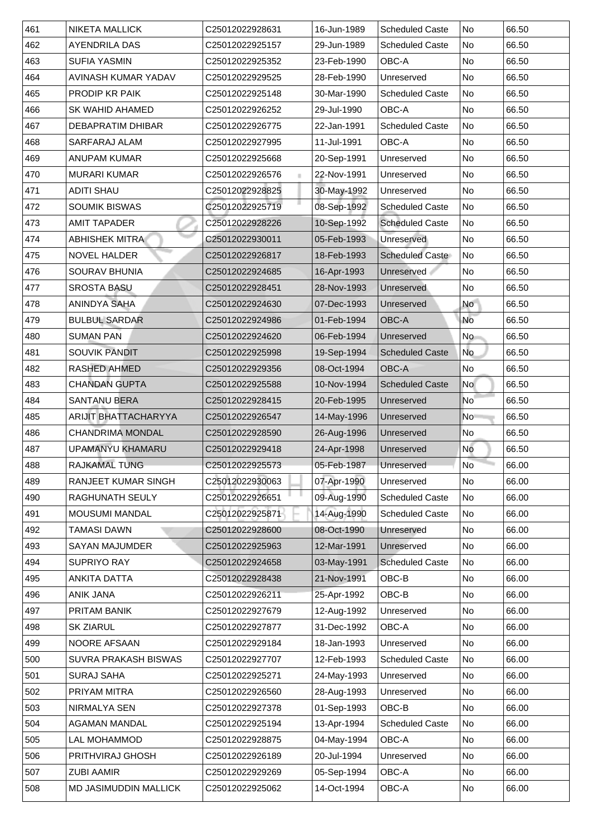| 461 | <b>NIKETA MALLICK</b>        | C25012022928631 | 16-Jun-1989 | <b>Scheduled Caste</b> | No                       | 66.50 |
|-----|------------------------------|-----------------|-------------|------------------------|--------------------------|-------|
| 462 | <b>AYENDRILA DAS</b>         | C25012022925157 | 29-Jun-1989 | <b>Scheduled Caste</b> | No                       | 66.50 |
| 463 | <b>SUFIA YASMIN</b>          | C25012022925352 | 23-Feb-1990 | OBC-A                  | No                       | 66.50 |
| 464 | <b>AVINASH KUMAR YADAV</b>   | C25012022929525 | 28-Feb-1990 | Unreserved             | No                       | 66.50 |
| 465 | <b>PRODIP KR PAIK</b>        | C25012022925148 | 30-Mar-1990 | <b>Scheduled Caste</b> | No                       | 66.50 |
| 466 | <b>SK WAHID AHAMED</b>       | C25012022926252 | 29-Jul-1990 | <b>OBC-A</b>           | No                       | 66.50 |
| 467 | <b>DEBAPRATIM DHIBAR</b>     | C25012022926775 | 22-Jan-1991 | <b>Scheduled Caste</b> | No                       | 66.50 |
| 468 | <b>SARFARAJ ALAM</b>         | C25012022927995 | 11-Jul-1991 | OBC-A                  | No                       | 66.50 |
| 469 | <b>ANUPAM KUMAR</b>          | C25012022925668 | 20-Sep-1991 | Unreserved             | N <sub>o</sub>           | 66.50 |
| 470 | MURARI KUMAR                 | C25012022926576 | 22-Nov-1991 | Unreserved             | No                       | 66.50 |
| 471 | <b>ADITI SHAU</b>            | C25012022928825 | 30-May-1992 | Unreserved             | No                       | 66.50 |
| 472 | <b>SOUMIK BISWAS</b>         | C25012022925719 | 08-Sep-1992 | <b>Scheduled Caste</b> | N <sub>o</sub>           | 66.50 |
| 473 | <b>AMIT TAPADER</b>          | C25012022928226 | 10-Sep-1992 | <b>Scheduled Caste</b> | No                       | 66.50 |
| 474 | <b>ABHISHEK MITRA</b>        | C25012022930011 | 05-Feb-1993 | Unreserved             | No                       | 66.50 |
| 475 | <b>NOVEL HALDER</b>          | C25012022926817 | 18-Feb-1993 | <b>Scheduled Caste</b> | No                       | 66.50 |
| 476 | <b>SOURAV BHUNIA</b>         | C25012022924685 | 16-Apr-1993 | Unreserved             | No                       | 66.50 |
| 477 | <b>SROSTA BASU</b>           | C25012022928451 | 28-Nov-1993 | Unreserved             | No                       | 66.50 |
| 478 | <b>ANINDYA SAHA</b>          | C25012022924630 | 07-Dec-1993 | Unreserved             | <b>No</b>                | 66.50 |
| 479 | <b>BULBUL SARDAR</b>         | C25012022924986 | 01-Feb-1994 | <b>OBC-A</b>           | <b>No</b>                | 66.50 |
| 480 | <b>SUMAN PAN</b>             | C25012022924620 | 06-Feb-1994 | Unreserved             | No                       | 66.50 |
| 481 | <b>SOUVIK PANDIT</b>         | C25012022925998 | 19-Sep-1994 | <b>Scheduled Caste</b> | No                       | 66.50 |
| 482 | <b>RASHED AHMED</b>          | C25012022929356 | 08-Oct-1994 | <b>OBC-A</b>           | No                       | 66.50 |
| 483 | <b>CHANDAN GUPTA</b>         | C25012022925588 | 10-Nov-1994 | <b>Scheduled Caste</b> | <b>No</b>                | 66.50 |
| 484 | <b>SANTANU BERA</b>          | C25012022928415 | 20-Feb-1995 | Unreserved             | $\overline{\mathsf{No}}$ | 66.50 |
| 485 | <b>ARIJIT BHATTACHARYYA</b>  | C25012022926547 | 14-May-1996 | Unreserved             | No                       | 66.50 |
| 486 | <b>CHANDRIMA MONDAL</b>      | C25012022928590 | 26-Aug-1996 | Unreserved             | No                       | 66.50 |
| 487 | UPAMANYU KHAMARU             | C25012022929418 | 24-Apr-1998 | Unreserved             | <b>No</b>                | 66.50 |
| 488 | <b>RAJKAMAL TUNG</b>         | C25012022925573 | 05-Feb-1987 | Unreserved             | N <sub>o</sub>           | 66.00 |
| 489 | <b>RANJEET KUMAR SINGH</b>   | C25012022930063 | 07-Apr-1990 | Unreserved             | No                       | 66.00 |
| 490 | <b>RAGHUNATH SEULY</b>       | C25012022926651 | 09-Aug-1990 | <b>Scheduled Caste</b> | No                       | 66.00 |
| 491 | <b>MOUSUMI MANDAL</b>        | C25012022925871 | 14-Aug-1990 | <b>Scheduled Caste</b> | No                       | 66.00 |
| 492 | TAMASI DAWN                  | C25012022928600 | 08-Oct-1990 | <b>Unreserved</b>      | No                       | 66.00 |
| 493 | <b>SAYAN MAJUMDER</b>        | C25012022925963 | 12-Mar-1991 | Unreserved             | No                       | 66.00 |
| 494 | <b>SUPRIYO RAY</b>           | C25012022924658 | 03-May-1991 | <b>Scheduled Caste</b> | No                       | 66.00 |
| 495 | <b>ANKITA DATTA</b>          | C25012022928438 | 21-Nov-1991 | OBC-B                  | No                       | 66.00 |
| 496 | <b>ANIK JANA</b>             | C25012022926211 | 25-Apr-1992 | OBC-B                  | No                       | 66.00 |
| 497 | <b>PRITAM BANIK</b>          | C25012022927679 | 12-Aug-1992 | Unreserved             | No                       | 66.00 |
| 498 | <b>SK ZIARUL</b>             | C25012022927877 | 31-Dec-1992 | <b>OBC-A</b>           | No                       | 66.00 |
| 499 | <b>NOORE AFSAAN</b>          | C25012022929184 | 18-Jan-1993 | Unreserved             | No                       | 66.00 |
| 500 | <b>SUVRA PRAKASH BISWAS</b>  | C25012022927707 | 12-Feb-1993 | <b>Scheduled Caste</b> | No                       | 66.00 |
| 501 | <b>SURAJ SAHA</b>            | C25012022925271 | 24-May-1993 | Unreserved             | No                       | 66.00 |
| 502 | PRIYAM MITRA                 | C25012022926560 | 28-Aug-1993 | Unreserved             | No                       | 66.00 |
| 503 | NIRMALYA SEN                 | C25012022927378 | 01-Sep-1993 | OBC-B                  | No                       | 66.00 |
| 504 | <b>AGAMAN MANDAL</b>         | C25012022925194 | 13-Apr-1994 | <b>Scheduled Caste</b> | No No                    | 66.00 |
| 505 | LAL MOHAMMOD                 | C25012022928875 | 04-May-1994 | OBC-A                  | No                       | 66.00 |
| 506 | <b>PRITHVIRAJ GHOSH</b>      | C25012022926189 | 20-Jul-1994 | Unreserved             | No No                    | 66.00 |
| 507 | <b>ZUBI AAMIR</b>            | C25012022929269 | 05-Sep-1994 | OBC-A                  | No                       | 66.00 |
| 508 | <b>MD JASIMUDDIN MALLICK</b> | C25012022925062 | 14-Oct-1994 | <b>OBC-A</b>           | No                       | 66.00 |
|     |                              |                 |             |                        |                          |       |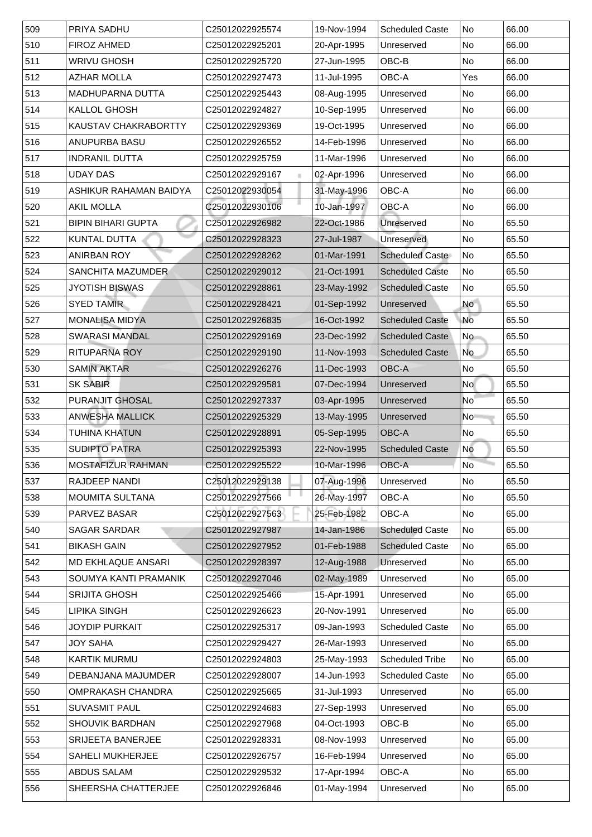| 509 | <b>PRIYA SADHU</b>          | C25012022925574 | 19-Nov-1994 | <b>Scheduled Caste</b> | No                       | 66.00 |
|-----|-----------------------------|-----------------|-------------|------------------------|--------------------------|-------|
| 510 | <b>FIROZ AHMED</b>          | C25012022925201 | 20-Apr-1995 | Unreserved             | No                       | 66.00 |
| 511 | <b>WRIVU GHOSH</b>          | C25012022925720 | 27-Jun-1995 | OBC-B                  | No                       | 66.00 |
| 512 | <b>AZHAR MOLLA</b>          | C25012022927473 | 11-Jul-1995 | <b>OBC-A</b>           | Yes                      | 66.00 |
| 513 | MADHUPARNA DUTTA            | C25012022925443 | 08-Aug-1995 | Unreserved             | No                       | 66.00 |
| 514 | <b>KALLOL GHOSH</b>         | C25012022924827 | 10-Sep-1995 | Unreserved             | No                       | 66.00 |
| 515 | <b>KAUSTAV CHAKRABORTTY</b> | C25012022929369 | 19-Oct-1995 | Unreserved             | No                       | 66.00 |
| 516 | <b>ANUPURBA BASU</b>        | C25012022926552 | 14-Feb-1996 | Unreserved             | No                       | 66.00 |
| 517 | <b>INDRANIL DUTTA</b>       | C25012022925759 | 11-Mar-1996 | Unreserved             | No                       | 66.00 |
| 518 | <b>UDAY DAS</b>             | C25012022929167 | 02-Apr-1996 | Unreserved             | No                       | 66.00 |
| 519 | ASHIKUR RAHAMAN BAIDYA      | C25012022930054 | 31-May-1996 | <b>OBC-A</b>           | No                       | 66.00 |
| 520 | <b>AKIL MOLLA</b>           | C25012022930106 | 10-Jan-1997 | <b>OBC-A</b>           | No                       | 66.00 |
| 521 | <b>BIPIN BIHARI GUPTA</b>   | C25012022926982 | 22-Oct-1986 | <b>Unreserved</b>      | No                       | 65.50 |
| 522 | <b>KUNTAL DUTTA</b>         | C25012022928323 | 27-Jul-1987 | Unreserved             | $\overline{\mathsf{No}}$ | 65.50 |
| 523 | <b>ANIRBAN ROY</b>          | C25012022928262 | 01-Mar-1991 | <b>Scheduled Caste</b> | No                       | 65.50 |
| 524 | <b>SANCHITA MAZUMDER</b>    | C25012022929012 | 21-Oct-1991 | <b>Scheduled Caste</b> | No                       | 65.50 |
| 525 | <b>JYOTISH BISWAS</b>       | C25012022928861 | 23-May-1992 | <b>Scheduled Caste</b> | No                       | 65.50 |
| 526 | <b>SYED TAMIR</b>           | C25012022928421 | 01-Sep-1992 | Unreserved             | <b>No</b>                | 65.50 |
| 527 | <b>MONALISA MIDYA</b>       | C25012022926835 | 16-Oct-1992 | <b>Scheduled Caste</b> | No                       | 65.50 |
| 528 | <b>SWARASI MANDAL</b>       | C25012022929169 | 23-Dec-1992 | <b>Scheduled Caste</b> | N <sub>o</sub>           | 65.50 |
| 529 | <b>RITUPARNA ROY</b>        | C25012022929190 | 11-Nov-1993 | <b>Scheduled Caste</b> | <b>No</b>                | 65.50 |
| 530 | <b>SAMIN AKTAR</b>          | C25012022926276 | 11-Dec-1993 | <b>OBC-A</b>           | No                       | 65.50 |
| 531 | <b>SK SABIR</b>             | C25012022929581 | 07-Dec-1994 | Unreserved             | <b>No</b>                | 65.50 |
| 532 | <b>PURANJIT GHOSAL</b>      | C25012022927337 | 03-Apr-1995 | Unreserved             | N <sub>o</sub>           | 65.50 |
| 533 | <b>ANWESHA MALLICK</b>      | C25012022925329 | 13-May-1995 | Unreserved             | <b>No</b>                | 65.50 |
| 534 | <b>TUHINA KHATUN</b>        | C25012022928891 | 05-Sep-1995 | <b>OBC-A</b>           | No                       | 65.50 |
| 535 | <b>SUDIPTO PATRA</b>        | C25012022925393 | 22-Nov-1995 | <b>Scheduled Caste</b> | <b>No</b>                | 65.50 |
| 536 | <b>MOSTAFIZUR RAHMAN</b>    | C25012022925522 | 10-Mar-1996 | <b>OBC-A</b>           | <b>No</b>                | 65.50 |
| 537 | <b>RAJDEEP NANDI</b>        | C25012022929138 | 07-Aug-1996 | Unreserved             | No                       | 65.50 |
| 538 | <b>MOUMITA SULTANA</b>      | C25012022927566 | 26-May-1997 | <b>OBC-A</b>           | No                       | 65.50 |
| 539 | <b>PARVEZ BASAR</b>         | C25012022927563 | 25-Feb-1982 | <b>OBC-A</b>           | No                       | 65.00 |
| 540 | <b>SAGAR SARDAR</b>         | C25012022927987 | 14-Jan-1986 | <b>Scheduled Caste</b> | No                       | 65.00 |
| 541 | <b>BIKASH GAIN</b>          | C25012022927952 | 01-Feb-1988 | <b>Scheduled Caste</b> | No                       | 65.00 |
| 542 | <b>MD EKHLAQUE ANSARI</b>   | C25012022928397 | 12-Aug-1988 | Unreserved             | No                       | 65.00 |
| 543 | SOUMYA KANTI PRAMANIK       | C25012022927046 | 02-May-1989 | Unreserved             | No                       | 65.00 |
| 544 | <b>SRIJITA GHOSH</b>        | C25012022925466 | 15-Apr-1991 | Unreserved             | No                       | 65.00 |
| 545 | <b>LIPIKA SINGH</b>         | C25012022926623 | 20-Nov-1991 | Unreserved             | No                       | 65.00 |
| 546 | <b>JOYDIP PURKAIT</b>       | C25012022925317 | 09-Jan-1993 | <b>Scheduled Caste</b> | No                       | 65.00 |
| 547 | <b>JOY SAHA</b>             | C25012022929427 | 26-Mar-1993 | Unreserved             | <b>No</b>                | 65.00 |
| 548 | <b>KARTIK MURMU</b>         | C25012022924803 | 25-May-1993 | <b>Scheduled Tribe</b> | No                       | 65.00 |
| 549 | <b>DEBANJANA MAJUMDER</b>   | C25012022928007 | 14-Jun-1993 | <b>Scheduled Caste</b> | No                       | 65.00 |
| 550 | <b>OMPRAKASH CHANDRA</b>    | C25012022925665 | 31-Jul-1993 | Unreserved             | N <sub>o</sub>           | 65.00 |
| 551 | <b>SUVASMIT PAUL</b>        | C25012022924683 | 27-Sep-1993 | Unreserved             | No                       | 65.00 |
| 552 | <b>SHOUVIK BARDHAN</b>      | C25012022927968 | 04-Oct-1993 | OBC-B                  | No                       | 65.00 |
| 553 | <b>SRIJEETA BANERJEE</b>    | C25012022928331 | 08-Nov-1993 | Unreserved             | No                       | 65.00 |
| 554 | <b>SAHELI MUKHERJEE</b>     | C25012022926757 | 16-Feb-1994 | Unreserved             | No                       | 65.00 |
| 555 | <b>ABDUS SALAM</b>          | C25012022929532 | 17-Apr-1994 | <b>OBC-A</b>           | No                       | 65.00 |
| 556 | SHEERSHA CHATTERJEE         | C25012022926846 | 01-May-1994 | Unreserved             | N <sub>o</sub>           | 65.00 |